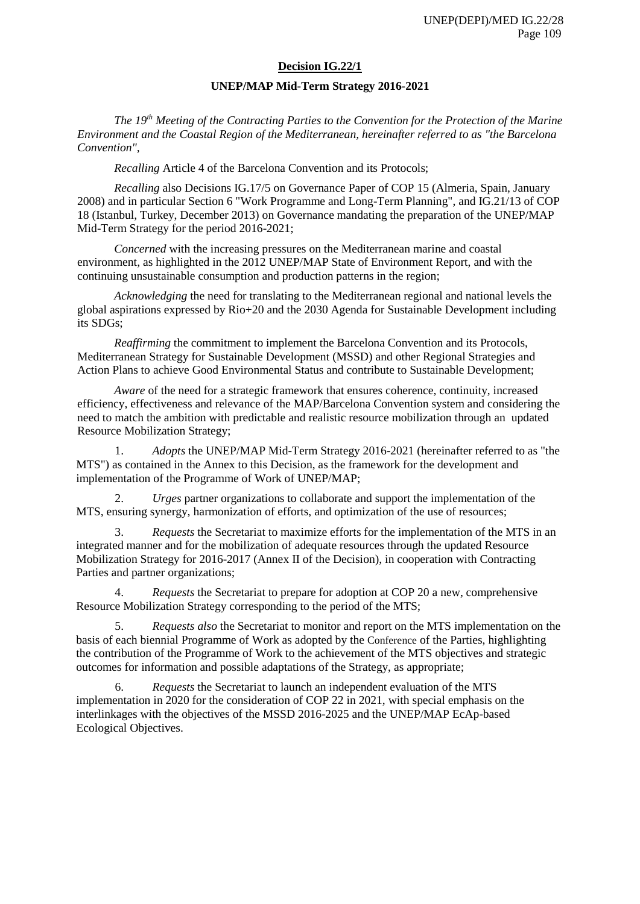#### **Decision IG.22/1**

#### **UNEP/MAP Mid-Term Strategy 2016-2021**

*The 19th Meeting of the Contracting Parties to the Convention for the Protection of the Marine Environment and the Coastal Region of the Mediterranean, hereinafter referred to as "the Barcelona Convention",*

*Recalling* Article 4 of the Barcelona Convention and its Protocols;

*Recalling* also Decisions IG.17/5 on Governance Paper of COP 15 (Almeria, Spain, January 2008) and in particular Section 6 "Work Programme and Long-Term Planning", and IG.21/13 of COP 18 (Istanbul, Turkey, December 2013) on Governance mandating the preparation of the UNEP/MAP Mid-Term Strategy for the period 2016-2021;

*Concerned* with the increasing pressures on the Mediterranean marine and coastal environment, as highlighted in the 2012 UNEP/MAP State of Environment Report, and with the continuing unsustainable consumption and production patterns in the region;

*Acknowledging* the need for translating to the Mediterranean regional and national levels the global aspirations expressed by Rio+20 and the 2030 Agenda for Sustainable Development including its SDGs;

*Reaffirming* the commitment to implement the Barcelona Convention and its Protocols, Mediterranean Strategy for Sustainable Development (MSSD) and other Regional Strategies and Action Plans to achieve Good Environmental Status and contribute to Sustainable Development;

*Aware* of the need for a strategic framework that ensures coherence, continuity, increased efficiency, effectiveness and relevance of the MAP/Barcelona Convention system and considering the need to match the ambition with predictable and realistic resource mobilization through an updated Resource Mobilization Strategy;

1. *Adopts* the UNEP/MAP Mid-Term Strategy 2016-2021 (hereinafter referred to as "the MTS") as contained in the Annex to this Decision, as the framework for the development and implementation of the Programme of Work of UNEP/MAP;

2. *Urges* partner organizations to collaborate and support the implementation of the MTS, ensuring synergy, harmonization of efforts, and optimization of the use of resources;

3. *Requests* the Secretariat to maximize efforts for the implementation of the MTS in an integrated manner and for the mobilization of adequate resources through the updated Resource Mobilization Strategy for 2016-2017 (Annex II of the Decision), in cooperation with Contracting Parties and partner organizations;

4. *Requests* the Secretariat to prepare for adoption at COP 20 a new, comprehensive Resource Mobilization Strategy corresponding to the period of the MTS;

5. *Requests also* the Secretariat to monitor and report on the MTS implementation on the basis of each biennial Programme of Work as adopted by the Conference of the Parties, highlighting the contribution of the Programme of Work to the achievement of the MTS objectives and strategic outcomes for information and possible adaptations of the Strategy, as appropriate;

6. *Requests* the Secretariat to launch an independent evaluation of the MTS implementation in 2020 for the consideration of COP 22 in 2021, with special emphasis on the interlinkages with the objectives of the MSSD 2016-2025 and the UNEP/MAP EcAp-based Ecological Objectives.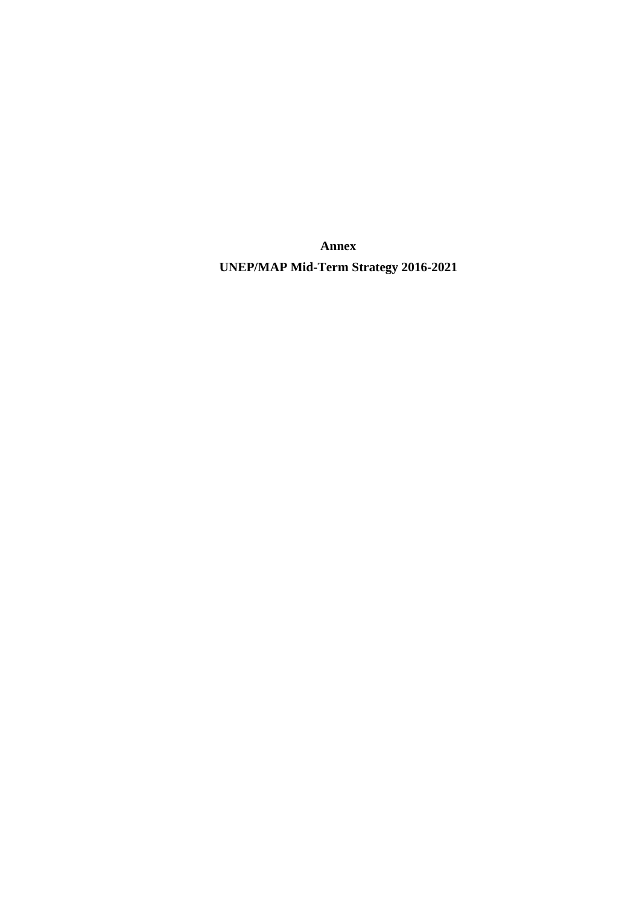**Annex UNEP/MAP Mid-Term Strategy 2016-2021**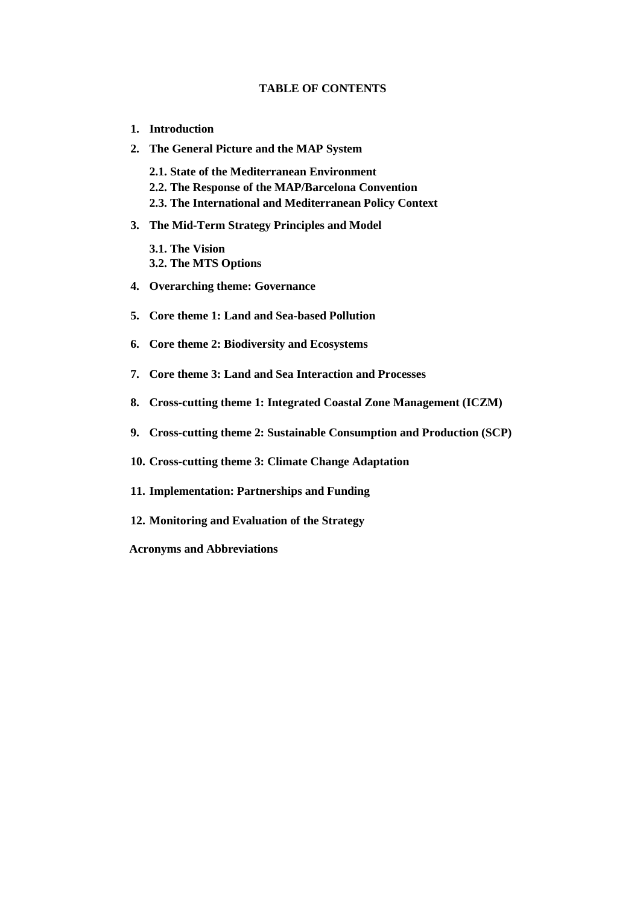#### **TABLE OF CONTENTS**

- **1. Introduction**
- **2. The General Picture and the MAP System**

**2.1. State of the Mediterranean Environment 2.2. The Response of the MAP/Barcelona Convention 2.3. The International and Mediterranean Policy Context**

**3. The Mid-Term Strategy Principles and Model**

**3.1. The Vision 3.2. The MTS Options**

- **4. Overarching theme: Governance**
- **5. Core theme 1: Land and Sea-based Pollution**
- **6. Core theme 2: Biodiversity and Ecosystems**
- **7. Core theme 3: Land and Sea Interaction and Processes**
- **8. Cross-cutting theme 1: Integrated Coastal Zone Management (ICZM)**
- **9. Cross-cutting theme 2: Sustainable Consumption and Production (SCP)**
- **10. Cross-cutting theme 3: Climate Change Adaptation**
- **11. Implementation: Partnerships and Funding**
- **12. Monitoring and Evaluation of the Strategy**

**Acronyms and Abbreviations**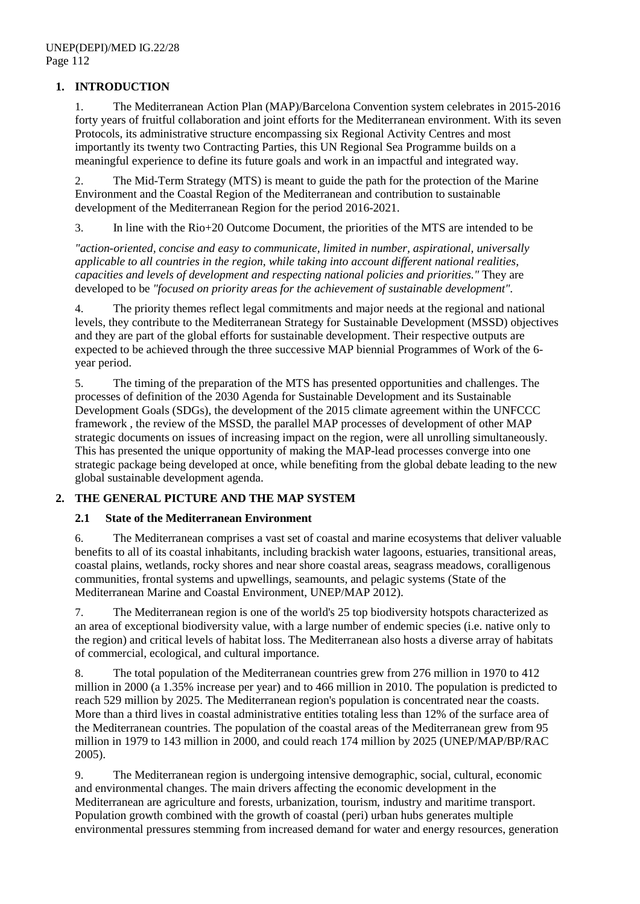## **1. INTRODUCTION**

1. The Mediterranean Action Plan (MAP)/Barcelona Convention system celebrates in 2015-2016 forty years of fruitful collaboration and joint efforts for the Mediterranean environment. With its seven Protocols, its administrative structure encompassing six Regional Activity Centres and most importantly its twenty two Contracting Parties, this UN Regional Sea Programme builds on a meaningful experience to define its future goals and work in an impactful and integrated way.

2. The Mid-Term Strategy (MTS) is meant to guide the path for the protection of the Marine Environment and the Coastal Region of the Mediterranean and contribution to sustainable development of the Mediterranean Region for the period 2016-2021.

3. In line with the Rio+20 Outcome Document, the priorities of the MTS are intended to be

*"action-oriented, concise and easy to communicate, limited in number, aspirational, universally applicable to all countries in the region, while taking into account different national realities, capacities and levels of development and respecting national policies and priorities."* They are developed to be *"focused on priority areas for the achievement of sustainable development"*.

4. The priority themes reflect legal commitments and major needs at the regional and national levels, they contribute to the Mediterranean Strategy for Sustainable Development (MSSD) objectives and they are part of the global efforts for sustainable development. Their respective outputs are expected to be achieved through the three successive MAP biennial Programmes of Work of the 6 year period.

5. The timing of the preparation of the MTS has presented opportunities and challenges. The processes of definition of the 2030 Agenda for Sustainable Development and its Sustainable Development Goals (SDGs), the development of the 2015 climate agreement within the UNFCCC framework , the review of the MSSD, the parallel MAP processes of development of other MAP strategic documents on issues of increasing impact on the region, were all unrolling simultaneously. This has presented the unique opportunity of making the MAP-lead processes converge into one strategic package being developed at once, while benefiting from the global debate leading to the new global sustainable development agenda.

# **2. THE GENERAL PICTURE AND THE MAP SYSTEM**

### **2.1 State of the Mediterranean Environment**

6. The Mediterranean comprises a vast set of coastal and marine ecosystems that deliver valuable benefits to all of its coastal inhabitants, including brackish water lagoons, estuaries, transitional areas, coastal plains, wetlands, rocky shores and near shore coastal areas, seagrass meadows, coralligenous communities, frontal systems and upwellings, seamounts, and pelagic systems (State of the Mediterranean Marine and Coastal Environment, UNEP/MAP 2012).

7. The Mediterranean region is one of the world's 25 top biodiversity hotspots characterized as an area of exceptional biodiversity value, with a large number of endemic species (i.e. native only to the region) and critical levels of habitat loss. The Mediterranean also hosts a diverse array of habitats of commercial, ecological, and cultural importance.

8. The total population of the Mediterranean countries grew from 276 million in 1970 to 412 million in 2000 (a 1.35% increase per year) and to 466 million in 2010. The population is predicted to reach 529 million by 2025. The Mediterranean region's population is concentrated near the coasts. More than a third lives in coastal administrative entities totaling less than 12% of the surface area of the Mediterranean countries. The population of the coastal areas of the Mediterranean grew from 95 million in 1979 to 143 million in 2000, and could reach 174 million by 2025 (UNEP/MAP/BP/RAC 2005).

9. The Mediterranean region is undergoing intensive demographic, social, cultural, economic and environmental changes. The main drivers affecting the economic development in the Mediterranean are agriculture and forests, urbanization, tourism, industry and maritime transport. Population growth combined with the growth of coastal (peri) urban hubs generates multiple environmental pressures stemming from increased demand for water and energy resources, generation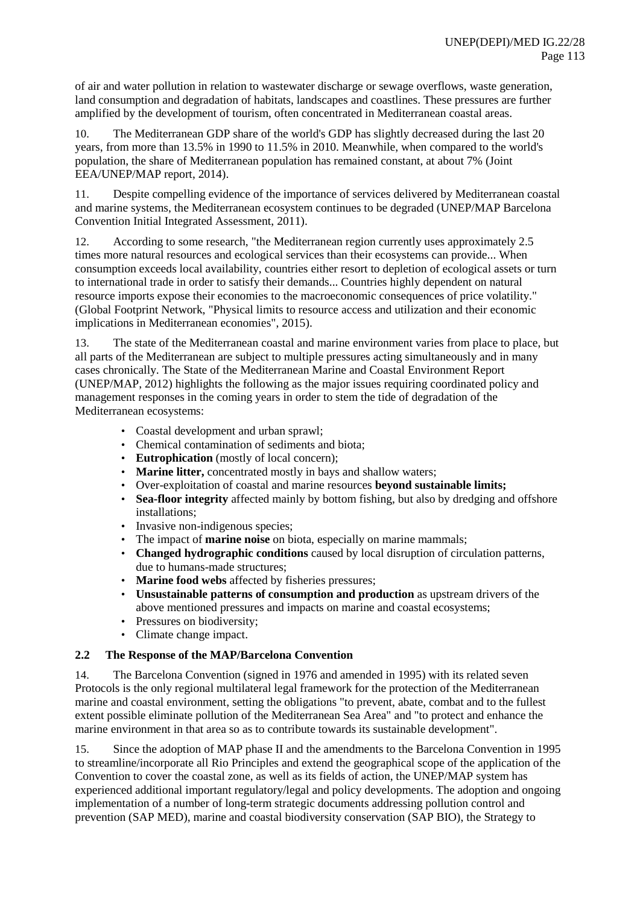of air and water pollution in relation to wastewater discharge or sewage overflows, waste generation, land consumption and degradation of habitats, landscapes and coastlines. These pressures are further amplified by the development of tourism, often concentrated in Mediterranean coastal areas.

10. The Mediterranean GDP share of the world's GDP has slightly decreased during the last 20 years, from more than 13.5% in 1990 to 11.5% in 2010. Meanwhile, when compared to the world's population, the share of Mediterranean population has remained constant, at about 7% (Joint EEA/UNEP/MAP report, 2014).

11. Despite compelling evidence of the importance of services delivered by Mediterranean coastal and marine systems, the Mediterranean ecosystem continues to be degraded (UNEP/MAP Barcelona Convention Initial Integrated Assessment, 2011).

12. According to some research, "the Mediterranean region currently uses approximately 2.5 times more natural resources and ecological services than their ecosystems can provide... When consumption exceeds local availability, countries either resort to depletion of ecological assets or turn to international trade in order to satisfy their demands... Countries highly dependent on natural resource imports expose their economies to the macroeconomic consequences of price volatility." (Global Footprint Network, "Physical limits to resource access and utilization and their economic implications in Mediterranean economies", 2015).

13. The state of the Mediterranean coastal and marine environment varies from place to place, but all parts of the Mediterranean are subject to multiple pressures acting simultaneously and in many cases chronically. The State of the Mediterranean Marine and Coastal Environment Report (UNEP/MAP, 2012) highlights the following as the major issues requiring coordinated policy and management responses in the coming years in order to stem the tide of degradation of the Mediterranean ecosystems:

- Coastal development and urban sprawl;
- Chemical contamination of sediments and biota;
- **Eutrophication** (mostly of local concern);
- **Marine litter,** concentrated mostly in bays and shallow waters;
- Over-exploitation of coastal and marine resources **beyond sustainable limits;**
- **Sea-floor integrity** affected mainly by bottom fishing, but also by dredging and offshore installations;
- Invasive non-indigenous species;
- The impact of **marine noise** on biota, especially on marine mammals;
- **Changed hydrographic conditions** caused by local disruption of circulation patterns, due to humans-made structures;
- **Marine food webs** affected by fisheries pressures;
- **Unsustainable patterns of consumption and production** as upstream drivers of the above mentioned pressures and impacts on marine and coastal ecosystems;
- Pressures on biodiversity;
- Climate change impact.

### **2.2 The Response of the MAP/Barcelona Convention**

14. The Barcelona Convention (signed in 1976 and amended in 1995) with its related seven Protocols is the only regional multilateral legal framework for the protection of the Mediterranean marine and coastal environment, setting the obligations "to prevent, abate, combat and to the fullest extent possible eliminate pollution of the Mediterranean Sea Area" and "to protect and enhance the marine environment in that area so as to contribute towards its sustainable development".

15. Since the adoption of MAP phase II and the amendments to the Barcelona Convention in 1995 to streamline/incorporate all Rio Principles and extend the geographical scope of the application of the Convention to cover the coastal zone, as well as its fields of action, the UNEP/MAP system has experienced additional important regulatory/legal and policy developments. The adoption and ongoing implementation of a number of long-term strategic documents addressing pollution control and prevention (SAP MED), marine and coastal biodiversity conservation (SAP BIO), the Strategy to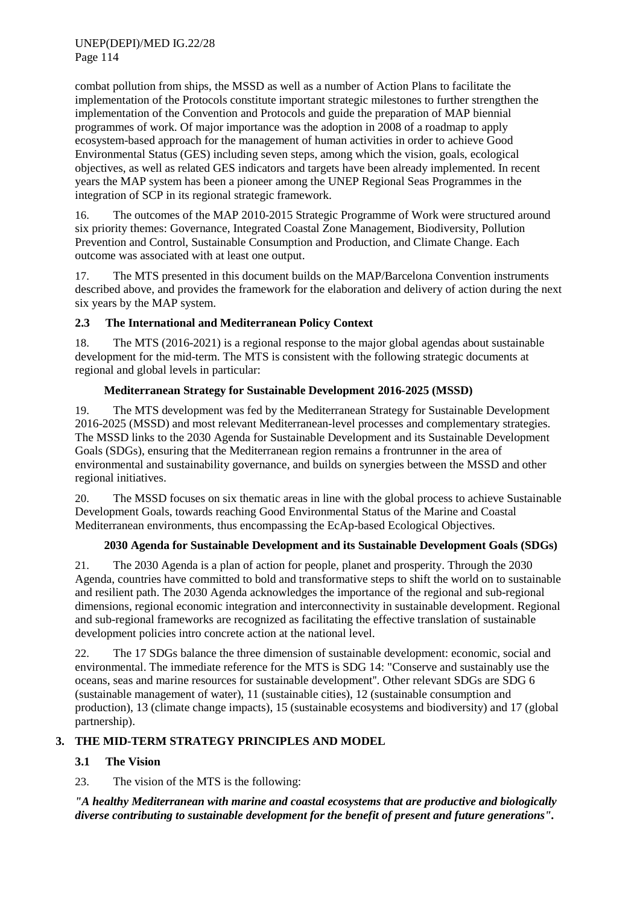combat pollution from ships, the MSSD as well as a number of Action Plans to facilitate the implementation of the Protocols constitute important strategic milestones to further strengthen the implementation of the Convention and Protocols and guide the preparation of MAP biennial programmes of work. Of major importance was the adoption in 2008 of a roadmap to apply ecosystem-based approach for the management of human activities in order to achieve Good Environmental Status (GES) including seven steps, among which the vision, goals, ecological objectives, as well as related GES indicators and targets have been already implemented. In recent years the MAP system has been a pioneer among the UNEP Regional Seas Programmes in the integration of SCP in its regional strategic framework.

16. The outcomes of the MAP 2010-2015 Strategic Programme of Work were structured around six priority themes: Governance, Integrated Coastal Zone Management, Biodiversity, Pollution Prevention and Control, Sustainable Consumption and Production, and Climate Change. Each outcome was associated with at least one output.

17. The MTS presented in this document builds on the MAP/Barcelona Convention instruments described above, and provides the framework for the elaboration and delivery of action during the next six years by the MAP system.

### **2.3 The International and Mediterranean Policy Context**

18. The MTS (2016-2021) is a regional response to the major global agendas about sustainable development for the mid-term. The MTS is consistent with the following strategic documents at regional and global levels in particular:

### **Mediterranean Strategy for Sustainable Development 2016-2025 (MSSD)**

19. The MTS development was fed by the Mediterranean Strategy for Sustainable Development 2016-2025 (MSSD) and most relevant Mediterranean-level processes and complementary strategies. The MSSD links to the 2030 Agenda for Sustainable Development and its Sustainable Development Goals (SDGs), ensuring that the Mediterranean region remains a frontrunner in the area of environmental and sustainability governance, and builds on synergies between the MSSD and other regional initiatives.

20. The MSSD focuses on six thematic areas in line with the global process to achieve Sustainable Development Goals, towards reaching Good Environmental Status of the Marine and Coastal Mediterranean environments, thus encompassing the EcAp-based Ecological Objectives.

# **2030 Agenda for Sustainable Development and its Sustainable Development Goals (SDGs)**

21. The 2030 Agenda is a plan of action for people, planet and prosperity. Through the 2030 Agenda, countries have committed to bold and transformative steps to shift the world on to sustainable and resilient path. The 2030 Agenda acknowledges the importance of the regional and sub-regional dimensions, regional economic integration and interconnectivity in sustainable development. Regional and sub-regional frameworks are recognized as facilitating the effective translation of sustainable development policies intro concrete action at the national level.

22. The 17 SDGs balance the three dimension of sustainable development: economic, social and environmental. The immediate reference for the MTS is SDG 14: "Conserve and sustainably use the oceans, seas and marine resources for sustainable development''. Other relevant SDGs are SDG 6 (sustainable management of water), 11 (sustainable cities), 12 (sustainable consumption and production), 13 (climate change impacts), 15 (sustainable ecosystems and biodiversity) and 17 (global partnership).

# **3. THE MID-TERM STRATEGY PRINCIPLES AND MODEL**

# **3.1 The Vision**

23. The vision of the MTS is the following:

*"A healthy Mediterranean with marine and coastal ecosystems that are productive and biologically diverse contributing to sustainable development for the benefit of present and future generations".*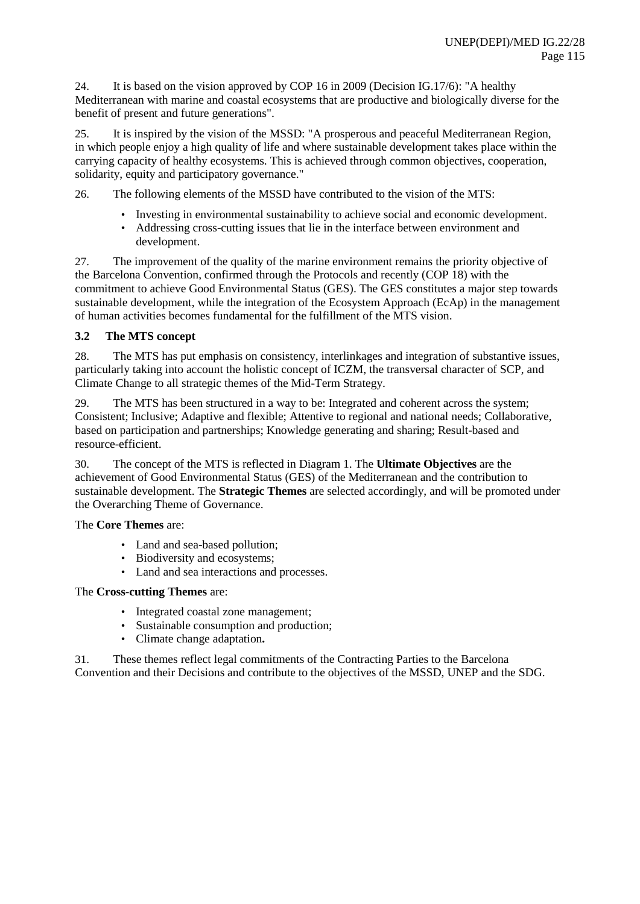24. It is based on the vision approved by COP 16 in 2009 (Decision IG.17/6): "A healthy Mediterranean with marine and coastal ecosystems that are productive and biologically diverse for the benefit of present and future generations".

25. It is inspired by the vision of the MSSD: "A prosperous and peaceful Mediterranean Region, in which people enjoy a high quality of life and where sustainable development takes place within the carrying capacity of healthy ecosystems. This is achieved through common objectives, cooperation, solidarity, equity and participatory governance."

26. The following elements of the MSSD have contributed to the vision of the MTS:

- Investing in environmental sustainability to achieve social and economic development.
- Addressing cross-cutting issues that lie in the interface between environment and development.

27. The improvement of the quality of the marine environment remains the priority objective of the Barcelona Convention, confirmed through the Protocols and recently (COP 18) with the commitment to achieve Good Environmental Status (GES). The GES constitutes a major step towards sustainable development, while the integration of the Ecosystem Approach (EcAp) in the management of human activities becomes fundamental for the fulfillment of the MTS vision.

### **3.2 The MTS concept**

28. The MTS has put emphasis on consistency, interlinkages and integration of substantive issues, particularly taking into account the holistic concept of ICZM, the transversal character of SCP, and Climate Change to all strategic themes of the Mid-Term Strategy.

29. The MTS has been structured in a way to be: Integrated and coherent across the system; Consistent; Inclusive; Adaptive and flexible; Attentive to regional and national needs; Collaborative, based on participation and partnerships; Knowledge generating and sharing; Result-based and resource-efficient.

30. The concept of the MTS is reflected in Diagram 1. The **Ultimate Objectives** are the achievement of Good Environmental Status (GES) of the Mediterranean and the contribution to sustainable development. The **Strategic Themes** are selected accordingly, and will be promoted under the Overarching Theme of Governance.

The **Core Themes** are:

- Land and sea-based pollution;
- Biodiversity and ecosystems;
- Land and sea interactions and processes.

#### The **Cross-cutting Themes** are:

- Integrated coastal zone management;
- Sustainable consumption and production;
- Climate change adaptation**.**

31. These themes reflect legal commitments of the Contracting Parties to the Barcelona Convention and their Decisions and contribute to the objectives of the MSSD, UNEP and the SDG.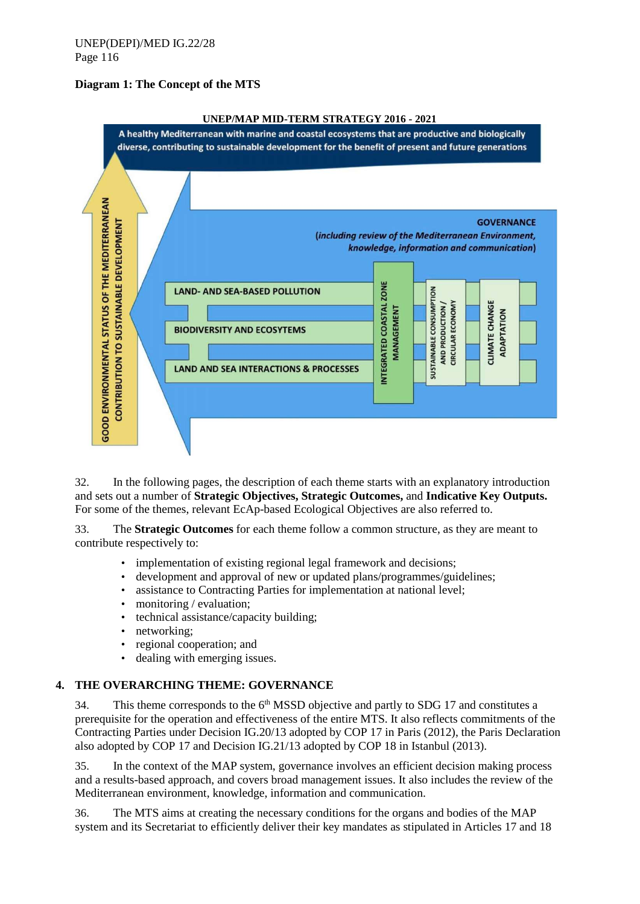## **Diagram 1: The Concept of the MTS**



32. In the following pages, the description of each theme starts with an explanatory introduction and sets out a number of **Strategic Objectives, Strategic Outcomes,** and **Indicative Key Outputs.** For some of the themes, relevant EcAp-based Ecological Objectives are also referred to.

33. The **Strategic Outcomes** for each theme follow a common structure, as they are meant to contribute respectively to:

- implementation of existing regional legal framework and decisions;
- development and approval of new or updated plans/programmes/guidelines;
- assistance to Contracting Parties for implementation at national level;
- monitoring / evaluation;
- technical assistance/capacity building;
- networking;
- regional cooperation; and
- dealing with emerging issues.

### **4. THE OVERARCHING THEME: GOVERNANCE**

34. This theme corresponds to the  $6<sup>th</sup> MSSD$  objective and partly to SDG 17 and constitutes a prerequisite for the operation and effectiveness of the entire MTS. It also reflects commitments of the Contracting Parties under Decision IG.20/13 adopted by COP 17 in Paris (2012), the Paris Declaration also adopted by COP 17 and Decision IG.21/13 adopted by COP 18 in Istanbul (2013).

35. In the context of the MAP system, governance involves an efficient decision making process and a results-based approach, and covers broad management issues. It also includes the review of the Mediterranean environment, knowledge, information and communication.

36. The MTS aims at creating the necessary conditions for the organs and bodies of the MAP system and its Secretariat to efficiently deliver their key mandates as stipulated in Articles 17 and 18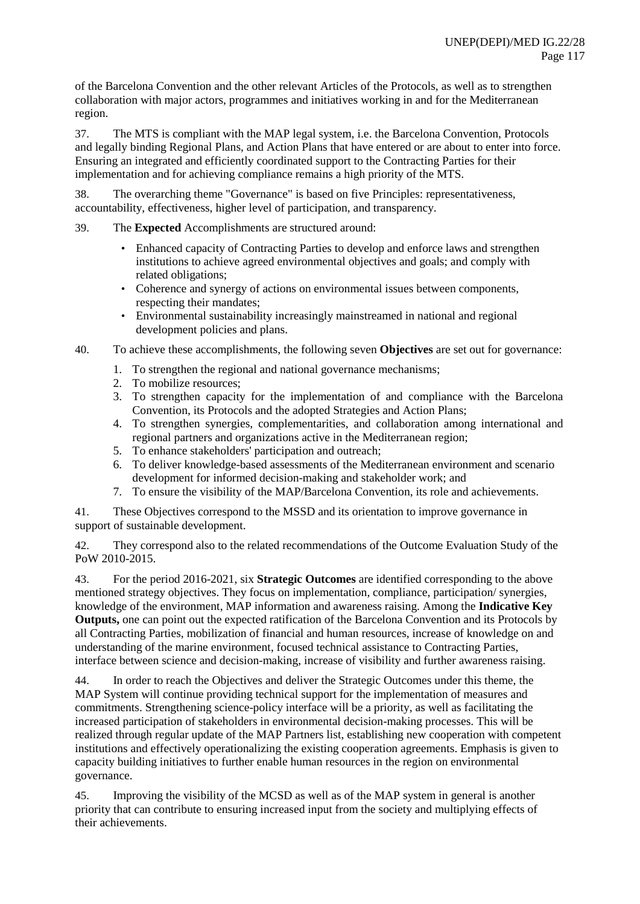of the Barcelona Convention and the other relevant Articles of the Protocols, as well as to strengthen collaboration with major actors, programmes and initiatives working in and for the Mediterranean region.

37. The MTS is compliant with the MAP legal system, i.e. the Barcelona Convention, Protocols and legally binding Regional Plans, and Action Plans that have entered or are about to enter into force. Ensuring an integrated and efficiently coordinated support to the Contracting Parties for their implementation and for achieving compliance remains a high priority of the MTS.

38. The overarching theme "Governance" is based on five Principles: representativeness, accountability, effectiveness, higher level of participation, and transparency.

#### 39. The **Expected** Accomplishments are structured around:

- Enhanced capacity of Contracting Parties to develop and enforce laws and strengthen institutions to achieve agreed environmental objectives and goals; and comply with related obligations;
- Coherence and synergy of actions on environmental issues between components, respecting their mandates;
- Environmental sustainability increasingly mainstreamed in national and regional development policies and plans.
- 40. To achieve these accomplishments, the following seven **Objectives** are set out for governance:
	- 1. To strengthen the regional and national governance mechanisms;
	- 2. To mobilize resources;
	- 3. To strengthen capacity for the implementation of and compliance with the Barcelona Convention, its Protocols and the adopted Strategies and Action Plans;
	- 4. To strengthen synergies, complementarities, and collaboration among international and regional partners and organizations active in the Mediterranean region;
	- 5. To enhance stakeholders' participation and outreach;
	- 6. To deliver knowledge-based assessments of the Mediterranean environment and scenario development for informed decision-making and stakeholder work; and
	- 7. To ensure the visibility of the MAP/Barcelona Convention, its role and achievements.

41. These Objectives correspond to the MSSD and its orientation to improve governance in support of sustainable development.

42. They correspond also to the related recommendations of the Outcome Evaluation Study of the PoW 2010-2015.

43. For the period 2016-2021, six **Strategic Outcomes** are identified corresponding to the above mentioned strategy objectives. They focus on implementation, compliance, participation/ synergies, knowledge of the environment, MAP information and awareness raising. Among the **Indicative Key Outputs,** one can point out the expected ratification of the Barcelona Convention and its Protocols by all Contracting Parties, mobilization of financial and human resources, increase of knowledge on and understanding of the marine environment, focused technical assistance to Contracting Parties, interface between science and decision-making, increase of visibility and further awareness raising.

44. In order to reach the Objectives and deliver the Strategic Outcomes under this theme, the MAP System will continue providing technical support for the implementation of measures and commitments. Strengthening science-policy interface will be a priority, as well as facilitating the increased participation of stakeholders in environmental decision-making processes. This will be realized through regular update of the MAP Partners list, establishing new cooperation with competent institutions and effectively operationalizing the existing cooperation agreements. Emphasis is given to capacity building initiatives to further enable human resources in the region on environmental governance.

45. Improving the visibility of the MCSD as well as of the MAP system in general is another priority that can contribute to ensuring increased input from the society and multiplying effects of their achievements.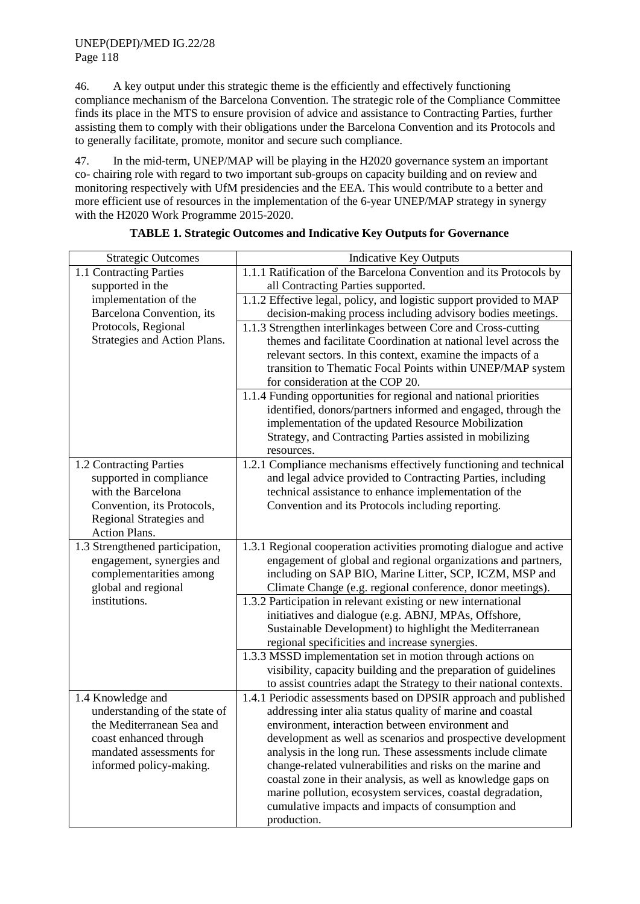46. A key output under this strategic theme is the efficiently and effectively functioning compliance mechanism of the Barcelona Convention. The strategic role of the Compliance Committee finds its place in the MTS to ensure provision of advice and assistance to Contracting Parties, further assisting them to comply with their obligations under the Barcelona Convention and its Protocols and to generally facilitate, promote, monitor and secure such compliance.

47. In the mid-term, UNEP/MAP will be playing in the H2020 governance system an important co- chairing role with regard to two important sub-groups on capacity building and on review and monitoring respectively with UfM presidencies and the EEA. This would contribute to a better and more efficient use of resources in the implementation of the 6-year UNEP/MAP strategy in synergy with the H2020 Work Programme 2015-2020.

| <b>Strategic Outcomes</b>                | <b>Indicative Key Outputs</b>                                       |
|------------------------------------------|---------------------------------------------------------------------|
| 1.1 Contracting Parties                  | 1.1.1 Ratification of the Barcelona Convention and its Protocols by |
| supported in the                         | all Contracting Parties supported.                                  |
| implementation of the                    | 1.1.2 Effective legal, policy, and logistic support provided to MAP |
| Barcelona Convention, its                | decision-making process including advisory bodies meetings.         |
| Protocols, Regional                      | 1.1.3 Strengthen interlinkages between Core and Cross-cutting       |
| Strategies and Action Plans.             | themes and facilitate Coordination at national level across the     |
|                                          | relevant sectors. In this context, examine the impacts of a         |
|                                          | transition to Thematic Focal Points within UNEP/MAP system          |
|                                          | for consideration at the COP 20.                                    |
|                                          | 1.1.4 Funding opportunities for regional and national priorities    |
|                                          | identified, donors/partners informed and engaged, through the       |
|                                          | implementation of the updated Resource Mobilization                 |
|                                          | Strategy, and Contracting Parties assisted in mobilizing            |
|                                          | resources.                                                          |
| 1.2 Contracting Parties                  | 1.2.1 Compliance mechanisms effectively functioning and technical   |
| supported in compliance                  | and legal advice provided to Contracting Parties, including         |
| with the Barcelona                       | technical assistance to enhance implementation of the               |
| Convention, its Protocols,               | Convention and its Protocols including reporting.                   |
| Regional Strategies and<br>Action Plans. |                                                                     |
| 1.3 Strengthened participation,          | 1.3.1 Regional cooperation activities promoting dialogue and active |
| engagement, synergies and                | engagement of global and regional organizations and partners,       |
| complementarities among                  | including on SAP BIO, Marine Litter, SCP, ICZM, MSP and             |
| global and regional                      | Climate Change (e.g. regional conference, donor meetings).          |
| institutions.                            | 1.3.2 Participation in relevant existing or new international       |
|                                          | initiatives and dialogue (e.g. ABNJ, MPAs, Offshore,                |
|                                          | Sustainable Development) to highlight the Mediterranean             |
|                                          | regional specificities and increase synergies.                      |
|                                          | 1.3.3 MSSD implementation set in motion through actions on          |
|                                          | visibility, capacity building and the preparation of guidelines     |
|                                          | to assist countries adapt the Strategy to their national contexts.  |
| 1.4 Knowledge and                        | 1.4.1 Periodic assessments based on DPSIR approach and published    |
| understanding of the state of            | addressing inter alia status quality of marine and coastal          |
| the Mediterranean Sea and                | environment, interaction between environment and                    |
| coast enhanced through                   | development as well as scenarios and prospective development        |
| mandated assessments for                 | analysis in the long run. These assessments include climate         |
| informed policy-making.                  | change-related vulnerabilities and risks on the marine and          |
|                                          | coastal zone in their analysis, as well as knowledge gaps on        |
|                                          | marine pollution, ecosystem services, coastal degradation,          |
|                                          | cumulative impacts and impacts of consumption and                   |
|                                          | production.                                                         |

**TABLE 1. Strategic Outcomes and Indicative Key Outputs for Governance**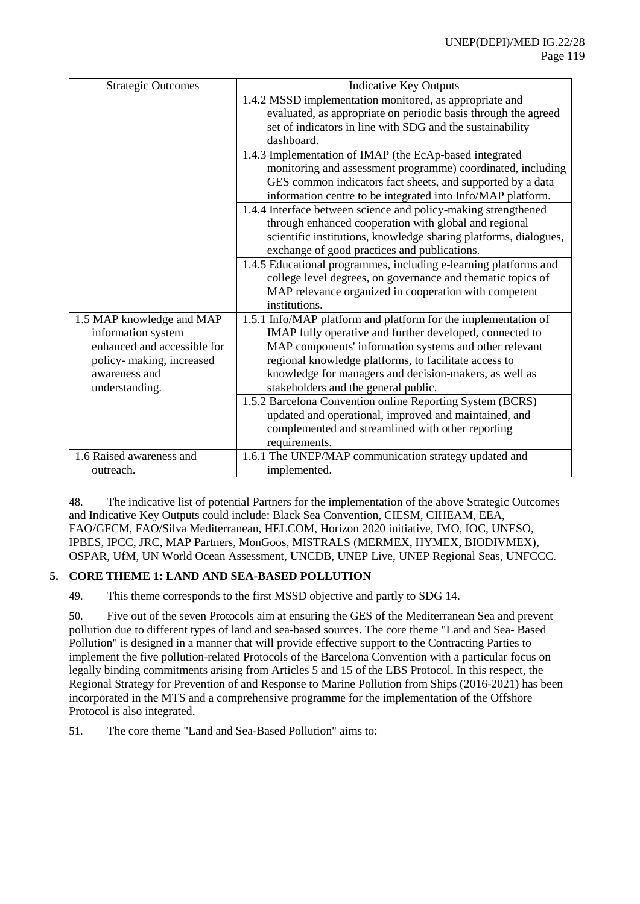| <b>Strategic Outcomes</b>   | <b>Indicative Key Outputs</b>                                    |
|-----------------------------|------------------------------------------------------------------|
|                             | 1.4.2 MSSD implementation monitored, as appropriate and          |
|                             | evaluated, as appropriate on periodic basis through the agreed   |
|                             | set of indicators in line with SDG and the sustainability        |
|                             | dashboard.                                                       |
|                             | 1.4.3 Implementation of IMAP (the EcAp-based integrated          |
|                             | monitoring and assessment programme) coordinated, including      |
|                             | GES common indicators fact sheets, and supported by a data       |
|                             | information centre to be integrated into Info/MAP platform.      |
|                             | 1.4.4 Interface between science and policy-making strengthened   |
|                             | through enhanced cooperation with global and regional            |
|                             | scientific institutions, knowledge sharing platforms, dialogues, |
|                             | exchange of good practices and publications.                     |
|                             | 1.4.5 Educational programmes, including e-learning platforms and |
|                             | college level degrees, on governance and thematic topics of      |
|                             | MAP relevance organized in cooperation with competent            |
|                             | institutions.                                                    |
| 1.5 MAP knowledge and MAP   | 1.5.1 Info/MAP platform and platform for the implementation of   |
| information system          | IMAP fully operative and further developed, connected to         |
| enhanced and accessible for | MAP components' information systems and other relevant           |
| policy-making, increased    | regional knowledge platforms, to facilitate access to            |
| awareness and               | knowledge for managers and decision-makers, as well as           |
| understanding.              | stakeholders and the general public.                             |
|                             | 1.5.2 Barcelona Convention online Reporting System (BCRS)        |
|                             | updated and operational, improved and maintained, and            |
|                             | complemented and streamlined with other reporting                |
|                             | requirements.                                                    |
| 1.6 Raised awareness and    | 1.6.1 The UNEP/MAP communication strategy updated and            |
| outreach.                   | implemented.                                                     |

48. The indicative list of potential Partners for the implementation of the above Strategic Outcomes and Indicative Key Outputs could include: Black Sea Convention, CIESM, CIHEAM, EEA, FAO/GFCM, FAO/Silva Mediterranean, HELCOM, Horizon 2020 initiative, IMO, IOC, UNESO, IPBES, IPCC, JRC, MAP Partners, MonGoos, MISTRALS (MERMEX, HYMEX, BIODIVMEX), OSPAR, UfM, UN World Ocean Assessment, UNCDB, UNEP Live, UNEP Regional Seas, UNFCCC.

### **5. CORE THEME 1: LAND AND SEA-BASED POLLUTION**

49. This theme corresponds to the first MSSD objective and partly to SDG 14.

50. Five out of the seven Protocols aim at ensuring the GES of the Mediterranean Sea and prevent pollution due to different types of land and sea-based sources. The core theme "Land and Sea- Based Pollution" is designed in a manner that will provide effective support to the Contracting Parties to implement the five pollution-related Protocols of the Barcelona Convention with a particular focus on legally binding commitments arising from Articles 5 and 15 of the LBS Protocol. In this respect, the Regional Strategy for Prevention of and Response to Marine Pollution from Ships (2016-2021) has been incorporated in the MTS and a comprehensive programme for the implementation of the Offshore Protocol is also integrated.

51. The core theme "Land and Sea-Based Pollution" aims to: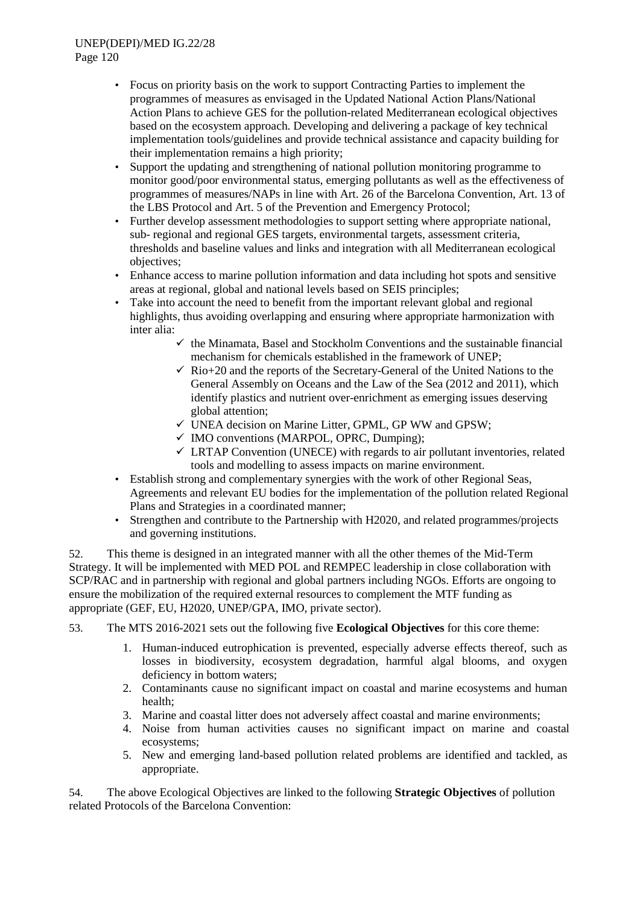- Focus on priority basis on the work to support Contracting Parties to implement the programmes of measures as envisaged in the Updated National Action Plans/National Action Plans to achieve GES for the pollution-related Mediterranean ecological objectives based on the ecosystem approach. Developing and delivering a package of key technical implementation tools/guidelines and provide technical assistance and capacity building for their implementation remains a high priority;
- Support the updating and strengthening of national pollution monitoring programme to monitor good/poor environmental status, emerging pollutants as well as the effectiveness of programmes of measures/NAPs in line with Art. 26 of the Barcelona Convention, Art. 13 of the LBS Protocol and Art. 5 of the Prevention and Emergency Protocol;
- Further develop assessment methodologies to support setting where appropriate national, sub- regional and regional GES targets, environmental targets, assessment criteria, thresholds and baseline values and links and integration with all Mediterranean ecological objectives;
- Enhance access to marine pollution information and data including hot spots and sensitive areas at regional, global and national levels based on SEIS principles;
- Take into account the need to benefit from the important relevant global and regional highlights, thus avoiding overlapping and ensuring where appropriate harmonization with inter alia:
	- $\checkmark$  the Minamata, Basel and Stockholm Conventions and the sustainable financial mechanism for chemicals established in the framework of UNEP;
	- $\checkmark$  Rio+20 and the reports of the Secretary-General of the United Nations to the General Assembly on Oceans and the Law of the Sea (2012 and 2011), which identify plastics and nutrient over-enrichment as emerging issues deserving global attention;
	- $\checkmark$  UNEA decision on Marine Litter, GPML, GP WW and GPSW;
	- $\checkmark$  IMO conventions (MARPOL, OPRC, Dumping);
	- $\checkmark$  LRTAP Convention (UNECE) with regards to air pollutant inventories, related tools and modelling to assess impacts on marine environment.
- Establish strong and complementary synergies with the work of other Regional Seas, Agreements and relevant EU bodies for the implementation of the pollution related Regional Plans and Strategies in a coordinated manner;
- Strengthen and contribute to the Partnership with H2020, and related programmes/projects and governing institutions.

52. This theme is designed in an integrated manner with all the other themes of the Mid-Term Strategy. It will be implemented with MED POL and REMPEC leadership in close collaboration with SCP/RAC and in partnership with regional and global partners including NGOs. Efforts are ongoing to ensure the mobilization of the required external resources to complement the MTF funding as appropriate (GEF, EU, H2020, UNEP/GPA, IMO, private sector).

- 53. The MTS 2016-2021 sets out the following five **Ecological Objectives** for this core theme:
	- 1. Human-induced eutrophication is prevented, especially adverse effects thereof, such as losses in biodiversity, ecosystem degradation, harmful algal blooms, and oxygen deficiency in bottom waters;
	- 2. Contaminants cause no significant impact on coastal and marine ecosystems and human health;
	- 3. Marine and coastal litter does not adversely affect coastal and marine environments;
	- 4. Noise from human activities causes no significant impact on marine and coastal ecosystems;
	- 5. New and emerging land-based pollution related problems are identified and tackled, as appropriate.

54. The above Ecological Objectives are linked to the following **Strategic Objectives** of pollution related Protocols of the Barcelona Convention: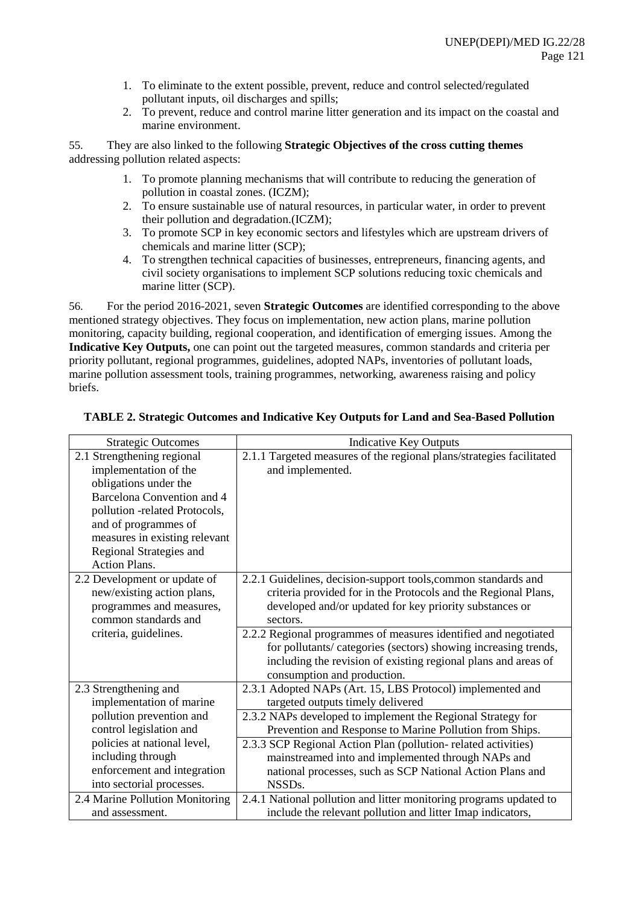- 1. To eliminate to the extent possible, prevent, reduce and control selected/regulated pollutant inputs, oil discharges and spills;
- 2. To prevent, reduce and control marine litter generation and its impact on the coastal and marine environment.

55. They are also linked to the following **Strategic Objectives of the cross cutting themes** addressing pollution related aspects:

- 1. To promote planning mechanisms that will contribute to reducing the generation of pollution in coastal zones. (ICZM);
- 2. To ensure sustainable use of natural resources, in particular water, in order to prevent their pollution and degradation.(ICZM);
- 3. To promote SCP in key economic sectors and lifestyles which are upstream drivers of chemicals and marine litter (SCP);
- 4. To strengthen technical capacities of businesses, entrepreneurs, financing agents, and civil society organisations to implement SCP solutions reducing toxic chemicals and marine litter (SCP).

56. For the period 2016-2021, seven **Strategic Outcomes** are identified corresponding to the above mentioned strategy objectives. They focus on implementation, new action plans, marine pollution monitoring, capacity building, regional cooperation, and identification of emerging issues. Among the **Indicative Key Outputs,** one can point out the targeted measures, common standards and criteria per priority pollutant, regional programmes, guidelines, adopted NAPs, inventories of pollutant loads, marine pollution assessment tools, training programmes, networking, awareness raising and policy briefs.

| <b>Strategic Outcomes</b>                                                                                                                                                                                                                                      | <b>Indicative Key Outputs</b>                                                                                                                                                                                                                                                                                                                                                                                   |
|----------------------------------------------------------------------------------------------------------------------------------------------------------------------------------------------------------------------------------------------------------------|-----------------------------------------------------------------------------------------------------------------------------------------------------------------------------------------------------------------------------------------------------------------------------------------------------------------------------------------------------------------------------------------------------------------|
| 2.1 Strengthening regional<br>implementation of the<br>obligations under the<br><b>Barcelona Convention and 4</b><br>pollution -related Protocols,<br>and of programmes of<br>measures in existing relevant<br>Regional Strategies and<br><b>Action Plans.</b> | 2.1.1 Targeted measures of the regional plans/strategies facilitated<br>and implemented.                                                                                                                                                                                                                                                                                                                        |
| 2.2 Development or update of<br>new/existing action plans,<br>programmes and measures,<br>common standards and<br>criteria, guidelines.                                                                                                                        | 2.2.1 Guidelines, decision-support tools, common standards and<br>criteria provided for in the Protocols and the Regional Plans,<br>developed and/or updated for key priority substances or<br>sectors.<br>2.2.2 Regional programmes of measures identified and negotiated<br>for pollutants/ categories (sectors) showing increasing trends,<br>including the revision of existing regional plans and areas of |
| 2.3 Strengthening and<br>implementation of marine                                                                                                                                                                                                              | consumption and production.<br>2.3.1 Adopted NAPs (Art. 15, LBS Protocol) implemented and<br>targeted outputs timely delivered                                                                                                                                                                                                                                                                                  |
| pollution prevention and<br>control legislation and                                                                                                                                                                                                            | 2.3.2 NAPs developed to implement the Regional Strategy for<br>Prevention and Response to Marine Pollution from Ships.                                                                                                                                                                                                                                                                                          |
| policies at national level,<br>including through<br>enforcement and integration<br>into sectorial processes.                                                                                                                                                   | 2.3.3 SCP Regional Action Plan (pollution-related activities)<br>mainstreamed into and implemented through NAPs and<br>national processes, such as SCP National Action Plans and<br>NSSD <sub>s</sub> .                                                                                                                                                                                                         |
| 2.4 Marine Pollution Monitoring<br>and assessment.                                                                                                                                                                                                             | 2.4.1 National pollution and litter monitoring programs updated to<br>include the relevant pollution and litter Imap indicators,                                                                                                                                                                                                                                                                                |

### **TABLE 2. Strategic Outcomes and Indicative Key Outputs for Land and Sea-Based Pollution**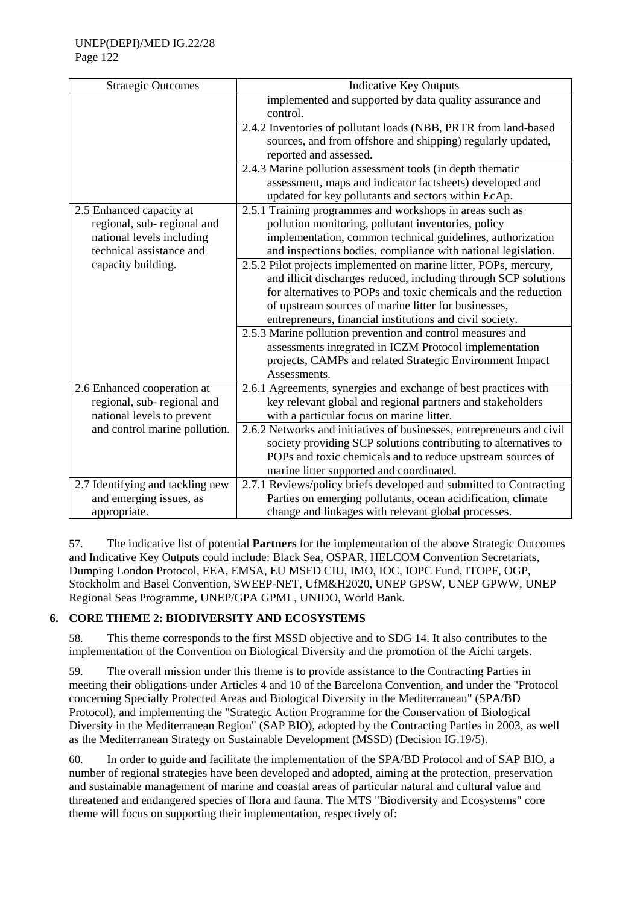| <b>Strategic Outcomes</b>        | <b>Indicative Key Outputs</b>                                         |
|----------------------------------|-----------------------------------------------------------------------|
|                                  | implemented and supported by data quality assurance and               |
|                                  | control.                                                              |
|                                  | 2.4.2 Inventories of pollutant loads (NBB, PRTR from land-based       |
|                                  | sources, and from offshore and shipping) regularly updated,           |
|                                  | reported and assessed.                                                |
|                                  | 2.4.3 Marine pollution assessment tools (in depth thematic            |
|                                  | assessment, maps and indicator factsheets) developed and              |
|                                  | updated for key pollutants and sectors within EcAp.                   |
| 2.5 Enhanced capacity at         | 2.5.1 Training programmes and workshops in areas such as              |
| regional, sub-regional and       | pollution monitoring, pollutant inventories, policy                   |
| national levels including        | implementation, common technical guidelines, authorization            |
| technical assistance and         | and inspections bodies, compliance with national legislation.         |
| capacity building.               | 2.5.2 Pilot projects implemented on marine litter, POPs, mercury,     |
|                                  | and illicit discharges reduced, including through SCP solutions       |
|                                  | for alternatives to POPs and toxic chemicals and the reduction        |
|                                  | of upstream sources of marine litter for businesses,                  |
|                                  | entrepreneurs, financial institutions and civil society.              |
|                                  | 2.5.3 Marine pollution prevention and control measures and            |
|                                  | assessments integrated in ICZM Protocol implementation                |
|                                  | projects, CAMPs and related Strategic Environment Impact              |
|                                  | Assessments.                                                          |
| 2.6 Enhanced cooperation at      | 2.6.1 Agreements, synergies and exchange of best practices with       |
| regional, sub-regional and       | key relevant global and regional partners and stakeholders            |
| national levels to prevent       | with a particular focus on marine litter.                             |
| and control marine pollution.    | 2.6.2 Networks and initiatives of businesses, entrepreneurs and civil |
|                                  | society providing SCP solutions contributing to alternatives to       |
|                                  | POPs and toxic chemicals and to reduce upstream sources of            |
|                                  | marine litter supported and coordinated.                              |
| 2.7 Identifying and tackling new | 2.7.1 Reviews/policy briefs developed and submitted to Contracting    |
| and emerging issues, as          | Parties on emerging pollutants, ocean acidification, climate          |
| appropriate.                     | change and linkages with relevant global processes.                   |

57. The indicative list of potential **Partners** for the implementation of the above Strategic Outcomes and Indicative Key Outputs could include: Black Sea, OSPAR, HELCOM Convention Secretariats, Dumping London Protocol, EEA, EMSA, EU MSFD CIU, IMO, IOC, IOPC Fund, ITOPF, OGP, Stockholm and Basel Convention, SWEEP-NET, UfM&H2020, UNEP GPSW, UNEP GPWW, UNEP Regional Seas Programme, UNEP/GPA GPML, UNIDO, World Bank.

# **6. CORE THEME 2: BIODIVERSITY AND ECOSYSTEMS**

58. This theme corresponds to the first MSSD objective and to SDG 14. It also contributes to the implementation of the Convention on Biological Diversity and the promotion of the Aichi targets.

59. The overall mission under this theme is to provide assistance to the Contracting Parties in meeting their obligations under Articles 4 and 10 of the Barcelona Convention, and under the "Protocol concerning Specially Protected Areas and Biological Diversity in the Mediterranean" (SPA/BD Protocol), and implementing the "Strategic Action Programme for the Conservation of Biological Diversity in the Mediterranean Region" (SAP BIO), adopted by the Contracting Parties in 2003, as well as the Mediterranean Strategy on Sustainable Development (MSSD) (Decision IG.19/5).

60. In order to guide and facilitate the implementation of the SPA/BD Protocol and of SAP BIO, a number of regional strategies have been developed and adopted, aiming at the protection, preservation and sustainable management of marine and coastal areas of particular natural and cultural value and threatened and endangered species of flora and fauna. The MTS "Biodiversity and Ecosystems" core theme will focus on supporting their implementation, respectively of: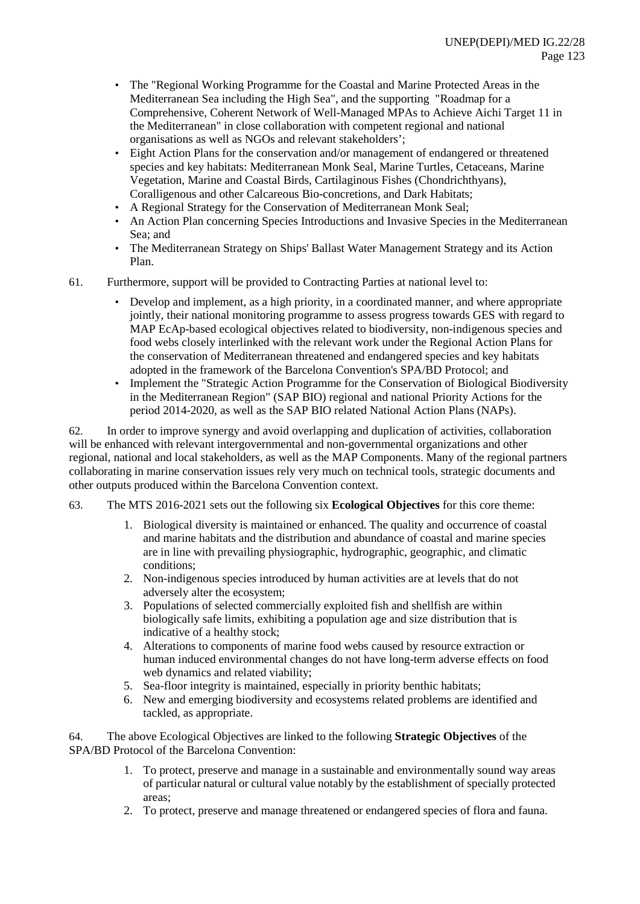- The "Regional Working Programme for the Coastal and Marine Protected Areas in the Mediterranean Sea including the High Sea", and the supporting "Roadmap for a Comprehensive, Coherent Network of Well-Managed MPAs to Achieve Aichi Target 11 in the Mediterranean" in close collaboration with competent regional and national organisations as well as NGOs and relevant stakeholders';
- Eight Action Plans for the conservation and/or management of endangered or threatened species and key habitats: Mediterranean Monk Seal, Marine Turtles, Cetaceans, Marine Vegetation, Marine and Coastal Birds, Cartilaginous Fishes (Chondrichthyans), Coralligenous and other Calcareous Bio-concretions, and Dark Habitats;
- A Regional Strategy for the Conservation of Mediterranean Monk Seal;
- An Action Plan concerning Species Introductions and Invasive Species in the Mediterranean Sea; and
- The Mediterranean Strategy on Ships' Ballast Water Management Strategy and its Action Plan.
- 61. Furthermore, support will be provided to Contracting Parties at national level to:
	- Develop and implement, as a high priority, in a coordinated manner, and where appropriate jointly, their national monitoring programme to assess progress towards GES with regard to MAP EcAp-based ecological objectives related to biodiversity, non-indigenous species and food webs closely interlinked with the relevant work under the Regional Action Plans for the conservation of Mediterranean threatened and endangered species and key habitats adopted in the framework of the Barcelona Convention's SPA/BD Protocol; and
	- Implement the "Strategic Action Programme for the Conservation of Biological Biodiversity in the Mediterranean Region" (SAP BIO) regional and national Priority Actions for the period 2014-2020, as well as the SAP BIO related National Action Plans (NAPs).

62. In order to improve synergy and avoid overlapping and duplication of activities, collaboration will be enhanced with relevant intergovernmental and non-governmental organizations and other regional, national and local stakeholders, as well as the MAP Components. Many of the regional partners collaborating in marine conservation issues rely very much on technical tools, strategic documents and other outputs produced within the Barcelona Convention context.

- 63. The MTS 2016-2021 sets out the following six **Ecological Objectives** for this core theme:
	- 1. Biological diversity is maintained or enhanced. The quality and occurrence of coastal and marine habitats and the distribution and abundance of coastal and marine species are in line with prevailing physiographic, hydrographic, geographic, and climatic conditions;
	- 2. Non-indigenous species introduced by human activities are at levels that do not adversely alter the ecosystem;
	- 3. Populations of selected commercially exploited fish and shellfish are within biologically safe limits, exhibiting a population age and size distribution that is indicative of a healthy stock;
	- 4. Alterations to components of marine food webs caused by resource extraction or human induced environmental changes do not have long-term adverse effects on food web dynamics and related viability;
	- 5. Sea-floor integrity is maintained, especially in priority benthic habitats;
	- 6. New and emerging biodiversity and ecosystems related problems are identified and tackled, as appropriate.

64. The above Ecological Objectives are linked to the following **Strategic Objectives** of the SPA/BD Protocol of the Barcelona Convention:

- 1. To protect, preserve and manage in a sustainable and environmentally sound way areas of particular natural or cultural value notably by the establishment of specially protected areas;
- 2. To protect, preserve and manage threatened or endangered species of flora and fauna.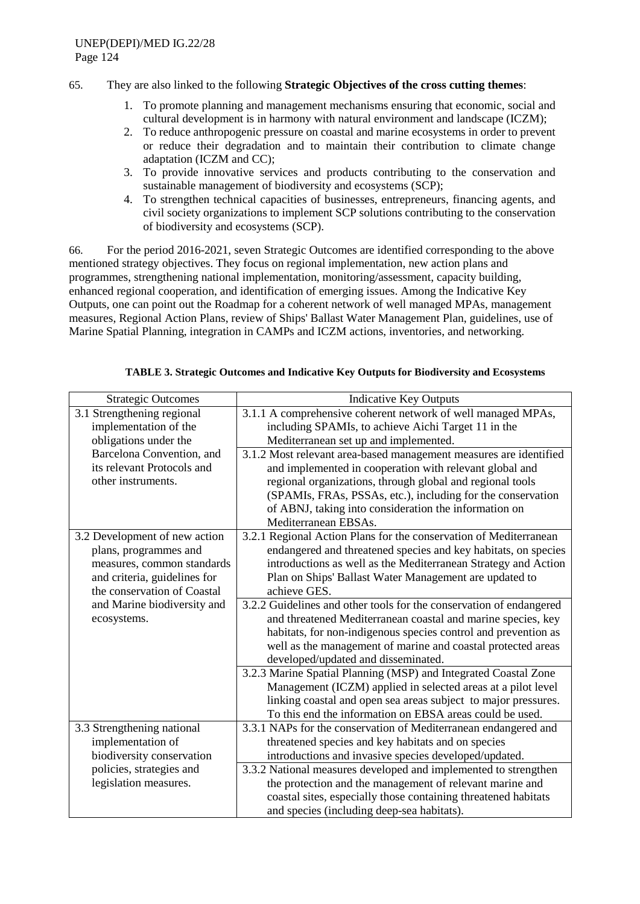#### 65. They are also linked to the following **Strategic Objectives of the cross cutting themes**:

- 1. To promote planning and management mechanisms ensuring that economic, social and cultural development is in harmony with natural environment and landscape (ICZM);
- 2. To reduce anthropogenic pressure on coastal and marine ecosystems in order to prevent or reduce their degradation and to maintain their contribution to climate change adaptation (ICZM and CC);
- 3. To provide innovative services and products contributing to the conservation and sustainable management of biodiversity and ecosystems (SCP);
- 4. To strengthen technical capacities of businesses, entrepreneurs, financing agents, and civil society organizations to implement SCP solutions contributing to the conservation of biodiversity and ecosystems (SCP).

66. For the period 2016-2021, seven Strategic Outcomes are identified corresponding to the above mentioned strategy objectives. They focus on regional implementation, new action plans and programmes, strengthening national implementation, monitoring/assessment, capacity building, enhanced regional cooperation, and identification of emerging issues. Among the Indicative Key Outputs, one can point out the Roadmap for a coherent network of well managed MPAs, management measures, Regional Action Plans, review of Ships' Ballast Water Management Plan, guidelines, use of Marine Spatial Planning, integration in CAMPs and ICZM actions, inventories, and networking.

| <b>Strategic Outcomes</b>     | <b>Indicative Key Outputs</b>                                       |  |
|-------------------------------|---------------------------------------------------------------------|--|
| 3.1 Strengthening regional    | 3.1.1 A comprehensive coherent network of well managed MPAs,        |  |
| implementation of the         | including SPAMIs, to achieve Aichi Target 11 in the                 |  |
| obligations under the         | Mediterranean set up and implemented.                               |  |
| Barcelona Convention, and     | 3.1.2 Most relevant area-based management measures are identified   |  |
| its relevant Protocols and    | and implemented in cooperation with relevant global and             |  |
| other instruments.            | regional organizations, through global and regional tools           |  |
|                               | (SPAMIs, FRAs, PSSAs, etc.), including for the conservation         |  |
|                               | of ABNJ, taking into consideration the information on               |  |
|                               | Mediterranean EBSAs.                                                |  |
| 3.2 Development of new action | 3.2.1 Regional Action Plans for the conservation of Mediterranean   |  |
| plans, programmes and         | endangered and threatened species and key habitats, on species      |  |
| measures, common standards    | introductions as well as the Mediterranean Strategy and Action      |  |
| and criteria, guidelines for  | Plan on Ships' Ballast Water Management are updated to              |  |
| the conservation of Coastal   | achieve GES.                                                        |  |
| and Marine biodiversity and   | 3.2.2 Guidelines and other tools for the conservation of endangered |  |
| ecosystems.                   | and threatened Mediterranean coastal and marine species, key        |  |
|                               | habitats, for non-indigenous species control and prevention as      |  |
|                               | well as the management of marine and coastal protected areas        |  |
|                               | developed/updated and disseminated.                                 |  |
|                               | 3.2.3 Marine Spatial Planning (MSP) and Integrated Coastal Zone     |  |
|                               | Management (ICZM) applied in selected areas at a pilot level        |  |
|                               | linking coastal and open sea areas subject to major pressures.      |  |
|                               | To this end the information on EBSA areas could be used.            |  |
| 3.3 Strengthening national    | 3.3.1 NAPs for the conservation of Mediterranean endangered and     |  |
| implementation of             | threatened species and key habitats and on species                  |  |
| biodiversity conservation     | introductions and invasive species developed/updated.               |  |
| policies, strategies and      | 3.3.2 National measures developed and implemented to strengthen     |  |
| legislation measures.         | the protection and the management of relevant marine and            |  |
|                               | coastal sites, especially those containing threatened habitats      |  |
|                               | and species (including deep-sea habitats).                          |  |

**TABLE 3. Strategic Outcomes and Indicative Key Outputs for Biodiversity and Ecosystems**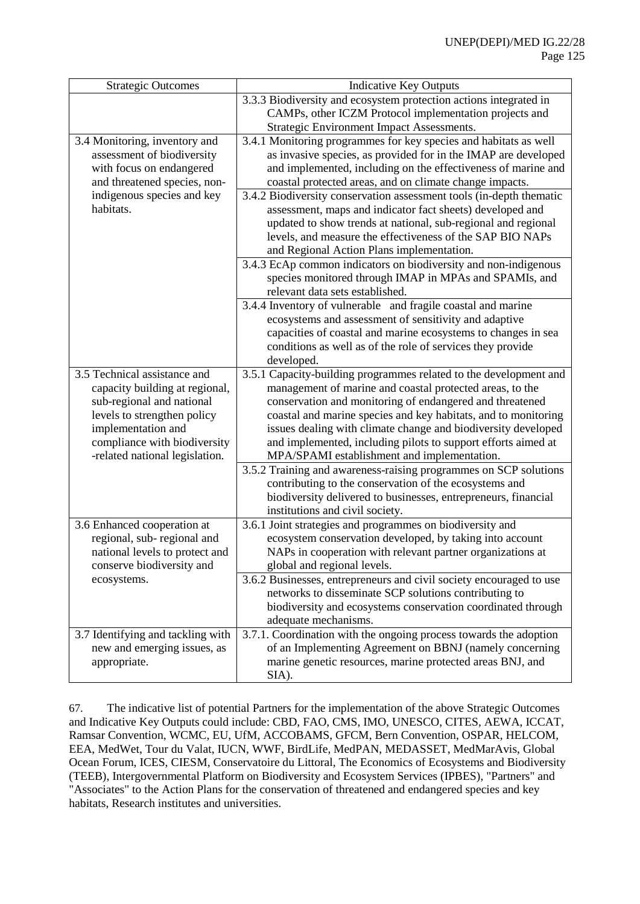| <b>Strategic Outcomes</b>         | <b>Indicative Key Outputs</b>                                                                                              |
|-----------------------------------|----------------------------------------------------------------------------------------------------------------------------|
|                                   | 3.3.3 Biodiversity and ecosystem protection actions integrated in                                                          |
|                                   | CAMPs, other ICZM Protocol implementation projects and                                                                     |
|                                   | Strategic Environment Impact Assessments.                                                                                  |
| 3.4 Monitoring, inventory and     | 3.4.1 Monitoring programmes for key species and habitats as well                                                           |
| assessment of biodiversity        | as invasive species, as provided for in the IMAP are developed                                                             |
| with focus on endangered          | and implemented, including on the effectiveness of marine and                                                              |
| and threatened species, non-      | coastal protected areas, and on climate change impacts.                                                                    |
| indigenous species and key        | 3.4.2 Biodiversity conservation assessment tools (in-depth thematic                                                        |
| habitats.                         | assessment, maps and indicator fact sheets) developed and                                                                  |
|                                   | updated to show trends at national, sub-regional and regional                                                              |
|                                   | levels, and measure the effectiveness of the SAP BIO NAPs                                                                  |
|                                   | and Regional Action Plans implementation.                                                                                  |
|                                   | 3.4.3 EcAp common indicators on biodiversity and non-indigenous                                                            |
|                                   | species monitored through IMAP in MPAs and SPAMIs, and                                                                     |
|                                   | relevant data sets established.                                                                                            |
|                                   | 3.4.4 Inventory of vulnerable and fragile coastal and marine                                                               |
|                                   | ecosystems and assessment of sensitivity and adaptive                                                                      |
|                                   | capacities of coastal and marine ecosystems to changes in sea                                                              |
|                                   | conditions as well as of the role of services they provide                                                                 |
|                                   | developed.                                                                                                                 |
| 3.5 Technical assistance and      | 3.5.1 Capacity-building programmes related to the development and                                                          |
| capacity building at regional,    | management of marine and coastal protected areas, to the                                                                   |
| sub-regional and national         | conservation and monitoring of endangered and threatened                                                                   |
| levels to strengthen policy       | coastal and marine species and key habitats, and to monitoring                                                             |
| implementation and                | issues dealing with climate change and biodiversity developed                                                              |
| compliance with biodiversity      | and implemented, including pilots to support efforts aimed at                                                              |
| -related national legislation.    | MPA/SPAMI establishment and implementation.                                                                                |
|                                   | 3.5.2 Training and awareness-raising programmes on SCP solutions<br>contributing to the conservation of the ecosystems and |
|                                   | biodiversity delivered to businesses, entrepreneurs, financial                                                             |
|                                   | institutions and civil society.                                                                                            |
| 3.6 Enhanced cooperation at       | 3.6.1 Joint strategies and programmes on biodiversity and                                                                  |
| regional, sub-regional and        | ecosystem conservation developed, by taking into account                                                                   |
| national levels to protect and    | NAPs in cooperation with relevant partner organizations at                                                                 |
| conserve biodiversity and         | global and regional levels.                                                                                                |
| ecosystems.                       | 3.6.2 Businesses, entrepreneurs and civil society encouraged to use                                                        |
|                                   | networks to disseminate SCP solutions contributing to                                                                      |
|                                   | biodiversity and ecosystems conservation coordinated through                                                               |
|                                   | adequate mechanisms.                                                                                                       |
| 3.7 Identifying and tackling with | 3.7.1. Coordination with the ongoing process towards the adoption                                                          |
| new and emerging issues, as       | of an Implementing Agreement on BBNJ (namely concerning                                                                    |
| appropriate.                      | marine genetic resources, marine protected areas BNJ, and                                                                  |
|                                   | SIA).                                                                                                                      |

67. The indicative list of potential Partners for the implementation of the above Strategic Outcomes and Indicative Key Outputs could include: CBD, FAO, CMS, IMO, UNESCO, CITES, AEWA, ICCAT, Ramsar Convention, WCMC, EU, UfM, ACCOBAMS, GFCM, Bern Convention, OSPAR, HELCOM, EEA, MedWet, Tour du Valat, IUCN, WWF, BirdLife, MedPAN, MEDASSET, MedMarAvis, Global Ocean Forum, ICES, CIESM, Conservatoire du Littoral, The Economics of Ecosystems and Biodiversity (TEEB), Intergovernmental Platform on Biodiversity and Ecosystem Services (IPBES), "Partners" and "Associates" to the Action Plans for the conservation of threatened and endangered species and key habitats, Research institutes and universities.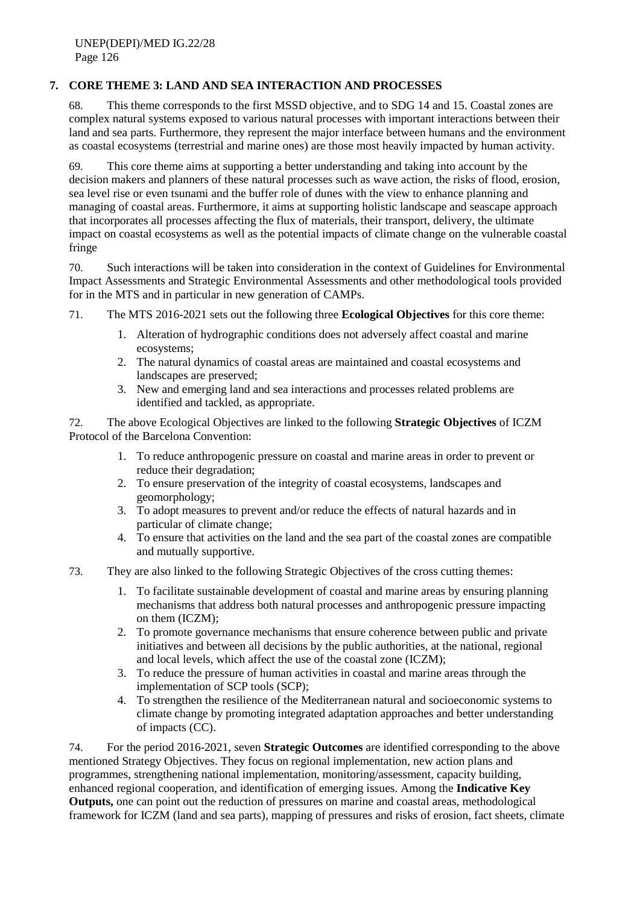### **7. CORE THEME 3: LAND AND SEA INTERACTION AND PROCESSES**

68. This theme corresponds to the first MSSD objective, and to SDG 14 and 15. Coastal zones are complex natural systems exposed to various natural processes with important interactions between their land and sea parts. Furthermore, they represent the major interface between humans and the environment as coastal ecosystems (terrestrial and marine ones) are those most heavily impacted by human activity.

69. This core theme aims at supporting a better understanding and taking into account by the decision makers and planners of these natural processes such as wave action, the risks of flood, erosion, sea level rise or even tsunami and the buffer role of dunes with the view to enhance planning and managing of coastal areas. Furthermore, it aims at supporting holistic landscape and seascape approach that incorporates all processes affecting the flux of materials, their transport, delivery, the ultimate impact on coastal ecosystems as well as the potential impacts of climate change on the vulnerable coastal fringe

70. Such interactions will be taken into consideration in the context of Guidelines for Environmental Impact Assessments and Strategic Environmental Assessments and other methodological tools provided for in the MTS and in particular in new generation of CAMPs.

71. The MTS 2016-2021 sets out the following three **Ecological Objectives** for this core theme:

- 1. Alteration of hydrographic conditions does not adversely affect coastal and marine ecosystems;
- 2. The natural dynamics of coastal areas are maintained and coastal ecosystems and landscapes are preserved;
- 3. New and emerging land and sea interactions and processes related problems are identified and tackled, as appropriate.

72. The above Ecological Objectives are linked to the following **Strategic Objectives** of ICZM Protocol of the Barcelona Convention:

- 1. To reduce anthropogenic pressure on coastal and marine areas in order to prevent or reduce their degradation;
- 2. To ensure preservation of the integrity of coastal ecosystems, landscapes and geomorphology;
- 3. To adopt measures to prevent and/or reduce the effects of natural hazards and in particular of climate change;
- 4. To ensure that activities on the land and the sea part of the coastal zones are compatible and mutually supportive.
- 73. They are also linked to the following Strategic Objectives of the cross cutting themes:
	- 1. To facilitate sustainable development of coastal and marine areas by ensuring planning mechanisms that address both natural processes and anthropogenic pressure impacting on them (ICZM);
	- 2. To promote governance mechanisms that ensure coherence between public and private initiatives and between all decisions by the public authorities, at the national, regional and local levels, which affect the use of the coastal zone (ICZM);
	- 3. To reduce the pressure of human activities in coastal and marine areas through the implementation of SCP tools (SCP);
	- 4. To strengthen the resilience of the Mediterranean natural and socioeconomic systems to climate change by promoting integrated adaptation approaches and better understanding of impacts (CC).

74. For the period 2016-2021, seven **Strategic Outcomes** are identified corresponding to the above mentioned Strategy Objectives. They focus on regional implementation, new action plans and programmes, strengthening national implementation, monitoring/assessment, capacity building, enhanced regional cooperation, and identification of emerging issues. Among the **Indicative Key Outputs,** one can point out the reduction of pressures on marine and coastal areas, methodological framework for ICZM (land and sea parts), mapping of pressures and risks of erosion, fact sheets, climate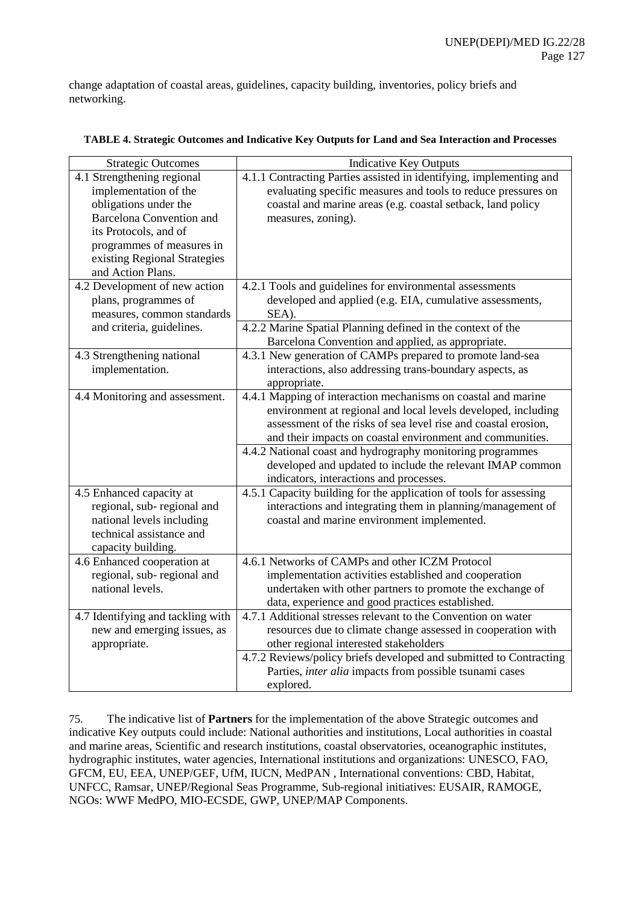change adaptation of coastal areas, guidelines, capacity building, inventories, policy briefs and networking.

| <b>Strategic Outcomes</b>                                                                                                                                                                                                  | <b>Indicative Key Outputs</b>                                                                                                                                                                                                                                                                                                                                                                                                       |
|----------------------------------------------------------------------------------------------------------------------------------------------------------------------------------------------------------------------------|-------------------------------------------------------------------------------------------------------------------------------------------------------------------------------------------------------------------------------------------------------------------------------------------------------------------------------------------------------------------------------------------------------------------------------------|
| 4.1 Strengthening regional<br>implementation of the<br>obligations under the<br><b>Barcelona Convention and</b><br>its Protocols, and of<br>programmes of measures in<br>existing Regional Strategies<br>and Action Plans. | 4.1.1 Contracting Parties assisted in identifying, implementing and<br>evaluating specific measures and tools to reduce pressures on<br>coastal and marine areas (e.g. coastal setback, land policy<br>measures, zoning).                                                                                                                                                                                                           |
| 4.2 Development of new action<br>plans, programmes of<br>measures, common standards                                                                                                                                        | 4.2.1 Tools and guidelines for environmental assessments<br>developed and applied (e.g. EIA, cumulative assessments,<br>SEA).                                                                                                                                                                                                                                                                                                       |
| and criteria, guidelines.                                                                                                                                                                                                  | 4.2.2 Marine Spatial Planning defined in the context of the<br>Barcelona Convention and applied, as appropriate.                                                                                                                                                                                                                                                                                                                    |
| 4.3 Strengthening national<br>implementation.                                                                                                                                                                              | 4.3.1 New generation of CAMPs prepared to promote land-sea<br>interactions, also addressing trans-boundary aspects, as<br>appropriate.                                                                                                                                                                                                                                                                                              |
| 4.4 Monitoring and assessment.                                                                                                                                                                                             | 4.4.1 Mapping of interaction mechanisms on coastal and marine<br>environment at regional and local levels developed, including<br>assessment of the risks of sea level rise and coastal erosion,<br>and their impacts on coastal environment and communities.<br>4.4.2 National coast and hydrography monitoring programmes<br>developed and updated to include the relevant IMAP common<br>indicators, interactions and processes. |
| 4.5 Enhanced capacity at<br>regional, sub-regional and<br>national levels including<br>technical assistance and<br>capacity building.                                                                                      | 4.5.1 Capacity building for the application of tools for assessing<br>interactions and integrating them in planning/management of<br>coastal and marine environment implemented.                                                                                                                                                                                                                                                    |
| 4.6 Enhanced cooperation at<br>regional, sub-regional and<br>national levels.                                                                                                                                              | 4.6.1 Networks of CAMPs and other ICZM Protocol<br>implementation activities established and cooperation<br>undertaken with other partners to promote the exchange of<br>data, experience and good practices established.                                                                                                                                                                                                           |
| 4.7 Identifying and tackling with<br>new and emerging issues, as<br>appropriate.                                                                                                                                           | 4.7.1 Additional stresses relevant to the Convention on water<br>resources due to climate change assessed in cooperation with<br>other regional interested stakeholders<br>4.7.2 Reviews/policy briefs developed and submitted to Contracting<br>Parties, inter alia impacts from possible tsunami cases<br>explored.                                                                                                               |

#### **TABLE 4. Strategic Outcomes and Indicative Key Outputs for Land and Sea Interaction and Processes**

75. The indicative list of **Partners** for the implementation of the above Strategic outcomes and indicative Key outputs could include: National authorities and institutions, Local authorities in coastal and marine areas, Scientific and research institutions, coastal observatories, oceanographic institutes, hydrographic institutes, water agencies, International institutions and organizations: UNESCO, FAO, GFCM, EU, EEA, UNEP/GEF, UfM, IUCN, MedPAN , International conventions: CBD, Habitat, UNFCC, Ramsar, UNEP/Regional Seas Programme, Sub-regional initiatives: EUSAIR, RAMOGE, NGOs: WWF MedPO, MIO-ECSDE, GWP, UNEP/MAP Components.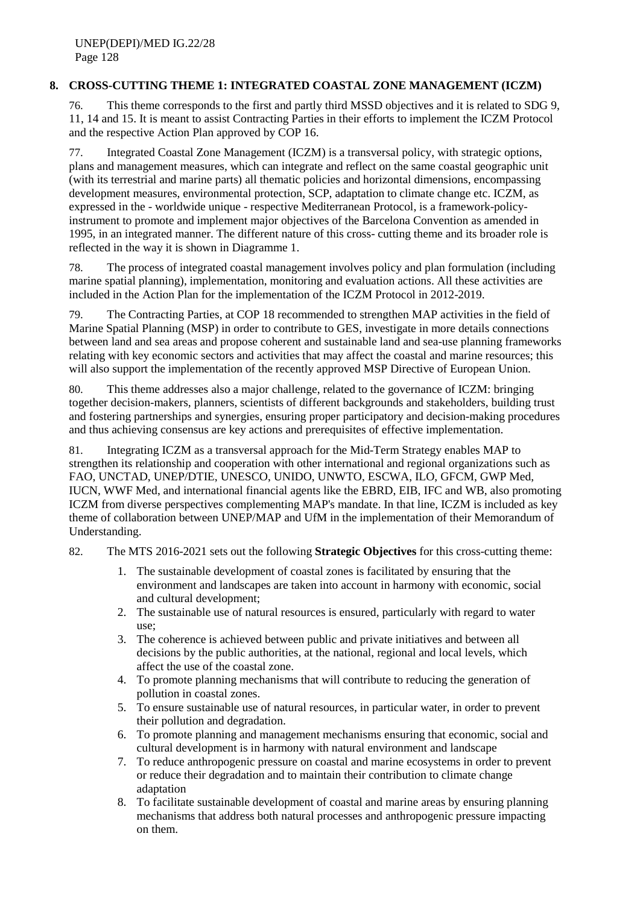#### **8. CROSS-CUTTING THEME 1: INTEGRATED COASTAL ZONE MANAGEMENT (ICZM)**

76. This theme corresponds to the first and partly third MSSD objectives and it is related to SDG 9, 11, 14 and 15. It is meant to assist Contracting Parties in their efforts to implement the ICZM Protocol and the respective Action Plan approved by COP 16.

77. Integrated Coastal Zone Management (ICZM) is a transversal policy, with strategic options, plans and management measures, which can integrate and reflect on the same coastal geographic unit (with its terrestrial and marine parts) all thematic policies and horizontal dimensions, encompassing development measures, environmental protection, SCP, adaptation to climate change etc. ICZM, as expressed in the - worldwide unique - respective Mediterranean Protocol, is a framework-policyinstrument to promote and implement major objectives of the Barcelona Convention as amended in 1995, in an integrated manner. The different nature of this cross- cutting theme and its broader role is reflected in the way it is shown in Diagramme 1.

78. The process of integrated coastal management involves policy and plan formulation (including marine spatial planning), implementation, monitoring and evaluation actions. All these activities are included in the Action Plan for the implementation of the ICZM Protocol in 2012-2019.

79. The Contracting Parties, at COP 18 recommended to strengthen MAP activities in the field of Marine Spatial Planning (MSP) in order to contribute to GES, investigate in more details connections between land and sea areas and propose coherent and sustainable land and sea-use planning frameworks relating with key economic sectors and activities that may affect the coastal and marine resources; this will also support the implementation of the recently approved MSP Directive of European Union.

80. This theme addresses also a major challenge, related to the governance of ICZM: bringing together decision-makers, planners, scientists of different backgrounds and stakeholders, building trust and fostering partnerships and synergies, ensuring proper participatory and decision-making procedures and thus achieving consensus are key actions and prerequisites of effective implementation.

81. Integrating ICZM as a transversal approach for the Mid-Term Strategy enables MAP to strengthen its relationship and cooperation with other international and regional organizations such as FAO, UNCTAD, UNEP/DTIE, UNESCO, UNIDO, UNWTO, ESCWA, ILO, GFCM, GWP Med, IUCN, WWF Med, and international financial agents like the EBRD, EIB, IFC and WB, also promoting ICZM from diverse perspectives complementing MAP's mandate. In that line, ICZM is included as key theme of collaboration between UNEP/MAP and UfM in the implementation of their Memorandum of Understanding.

82. The MTS 2016-2021 sets out the following **Strategic Objectives** for this cross-cutting theme:

- 1. The sustainable development of coastal zones is facilitated by ensuring that the environment and landscapes are taken into account in harmony with economic, social and cultural development;
- 2. The sustainable use of natural resources is ensured, particularly with regard to water use;
- 3. The coherence is achieved between public and private initiatives and between all decisions by the public authorities, at the national, regional and local levels, which affect the use of the coastal zone.
- 4. To promote planning mechanisms that will contribute to reducing the generation of pollution in coastal zones.
- 5. To ensure sustainable use of natural resources, in particular water, in order to prevent their pollution and degradation.
- 6. To promote planning and management mechanisms ensuring that economic, social and cultural development is in harmony with natural environment and landscape
- 7. To reduce anthropogenic pressure on coastal and marine ecosystems in order to prevent or reduce their degradation and to maintain their contribution to climate change adaptation
- 8. To facilitate sustainable development of coastal and marine areas by ensuring planning mechanisms that address both natural processes and anthropogenic pressure impacting on them.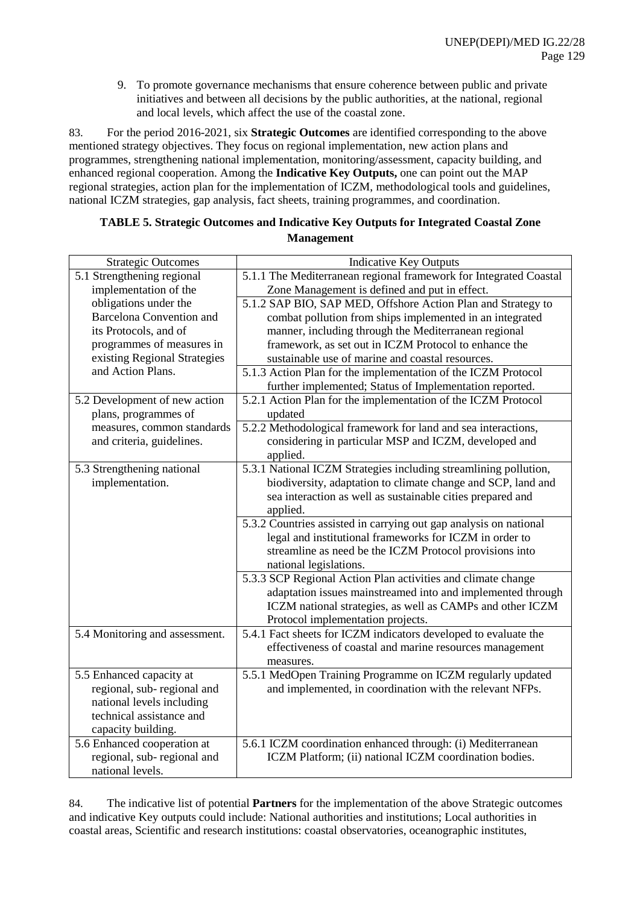9. To promote governance mechanisms that ensure coherence between public and private initiatives and between all decisions by the public authorities, at the national, regional and local levels, which affect the use of the coastal zone.

83. For the period 2016-2021, six **Strategic Outcomes** are identified corresponding to the above mentioned strategy objectives. They focus on regional implementation, new action plans and programmes, strengthening national implementation, monitoring/assessment, capacity building, and enhanced regional cooperation. Among the **Indicative Key Outputs,** one can point out the MAP regional strategies, action plan for the implementation of ICZM, methodological tools and guidelines, national ICZM strategies, gap analysis, fact sheets, training programmes, and coordination.

| <b>Strategic Outcomes</b>       | <b>Indicative Key Outputs</b>                                     |
|---------------------------------|-------------------------------------------------------------------|
| 5.1 Strengthening regional      | 5.1.1 The Mediterranean regional framework for Integrated Coastal |
| implementation of the           | Zone Management is defined and put in effect.                     |
| obligations under the           | 5.1.2 SAP BIO, SAP MED, Offshore Action Plan and Strategy to      |
| <b>Barcelona Convention and</b> | combat pollution from ships implemented in an integrated          |
| its Protocols, and of           | manner, including through the Mediterranean regional              |
| programmes of measures in       | framework, as set out in ICZM Protocol to enhance the             |
| existing Regional Strategies    | sustainable use of marine and coastal resources.                  |
| and Action Plans.               | 5.1.3 Action Plan for the implementation of the ICZM Protocol     |
|                                 | further implemented; Status of Implementation reported.           |
| 5.2 Development of new action   | 5.2.1 Action Plan for the implementation of the ICZM Protocol     |
| plans, programmes of            | updated                                                           |
| measures, common standards      | 5.2.2 Methodological framework for land and sea interactions,     |
| and criteria, guidelines.       | considering in particular MSP and ICZM, developed and             |
|                                 | applied.                                                          |
| 5.3 Strengthening national      | 5.3.1 National ICZM Strategies including streamlining pollution,  |
| implementation.                 | biodiversity, adaptation to climate change and SCP, land and      |
|                                 | sea interaction as well as sustainable cities prepared and        |
|                                 | applied.                                                          |
|                                 | 5.3.2 Countries assisted in carrying out gap analysis on national |
|                                 | legal and institutional frameworks for ICZM in order to           |
|                                 | streamline as need be the ICZM Protocol provisions into           |
|                                 | national legislations.                                            |
|                                 | 5.3.3 SCP Regional Action Plan activities and climate change      |
|                                 | adaptation issues mainstreamed into and implemented through       |
|                                 | ICZM national strategies, as well as CAMPs and other ICZM         |
|                                 | Protocol implementation projects.                                 |
| 5.4 Monitoring and assessment.  | 5.4.1 Fact sheets for ICZM indicators developed to evaluate the   |
|                                 | effectiveness of coastal and marine resources management          |
|                                 | measures.                                                         |
| 5.5 Enhanced capacity at        | 5.5.1 MedOpen Training Programme on ICZM regularly updated        |
| regional, sub-regional and      | and implemented, in coordination with the relevant NFPs.          |
| national levels including       |                                                                   |
| technical assistance and        |                                                                   |
| capacity building.              |                                                                   |
| 5.6 Enhanced cooperation at     | 5.6.1 ICZM coordination enhanced through: (i) Mediterranean       |
| regional, sub-regional and      | ICZM Platform; (ii) national ICZM coordination bodies.            |
| national levels.                |                                                                   |

#### **TABLE 5. Strategic Outcomes and Indicative Key Outputs for Integrated Coastal Zone Management**

84. The indicative list of potential **Partners** for the implementation of the above Strategic outcomes and indicative Key outputs could include: National authorities and institutions; Local authorities in coastal areas, Scientific and research institutions: coastal observatories, oceanographic institutes,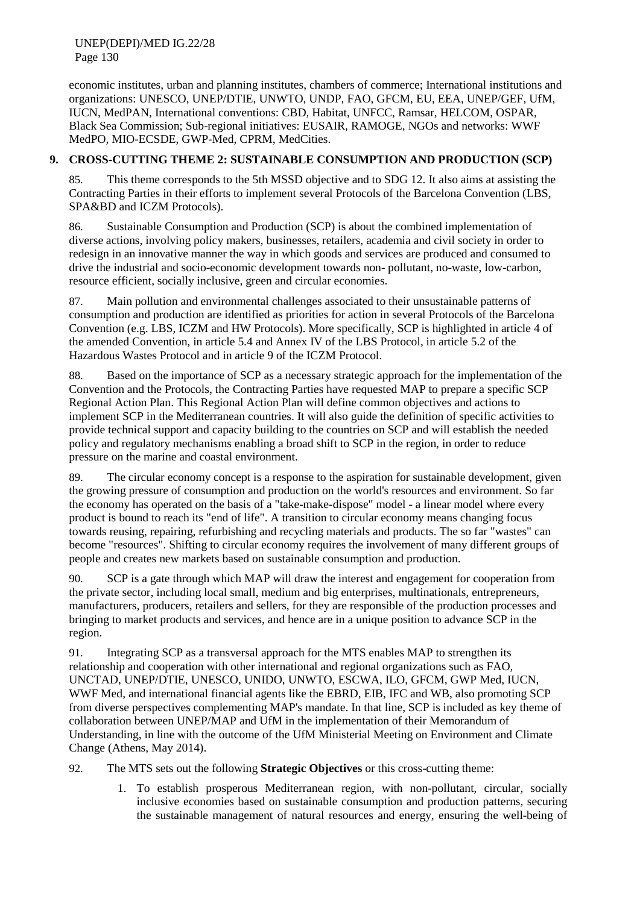economic institutes, urban and planning institutes, chambers of commerce; International institutions and organizations: UNESCO, UNEP/DTIE, UNWTO, UNDP, FAO, GFCM, EU, EEA, UNEP/GEF, UfM, IUCN, MedPAN, International conventions: CBD, Habitat, UNFCC, Ramsar, HELCOM, OSPAR, Black Sea Commission; Sub-regional initiatives: EUSAIR, RAMOGE, NGOs and networks: WWF MedPO, MIO-ECSDE, GWP-Med, CPRM, MedCities.

## **9. CROSS-CUTTING THEME 2: SUSTAINABLE CONSUMPTION AND PRODUCTION (SCP)**

85. This theme corresponds to the 5th MSSD objective and to SDG 12. It also aims at assisting the Contracting Parties in their efforts to implement several Protocols of the Barcelona Convention (LBS, SPA&BD and ICZM Protocols).

86. Sustainable Consumption and Production (SCP) is about the combined implementation of diverse actions, involving policy makers, businesses, retailers, academia and civil society in order to redesign in an innovative manner the way in which goods and services are produced and consumed to drive the industrial and socio-economic development towards non- pollutant, no-waste, low-carbon, resource efficient, socially inclusive, green and circular economies.

87. Main pollution and environmental challenges associated to their unsustainable patterns of consumption and production are identified as priorities for action in several Protocols of the Barcelona Convention (e.g. LBS, ICZM and HW Protocols). More specifically, SCP is highlighted in article 4 of the amended Convention, in article 5.4 and Annex IV of the LBS Protocol, in article 5.2 of the Hazardous Wastes Protocol and in article 9 of the ICZM Protocol.

88. Based on the importance of SCP as a necessary strategic approach for the implementation of the Convention and the Protocols, the Contracting Parties have requested MAP to prepare a specific SCP Regional Action Plan. This Regional Action Plan will define common objectives and actions to implement SCP in the Mediterranean countries. It will also guide the definition of specific activities to provide technical support and capacity building to the countries on SCP and will establish the needed policy and regulatory mechanisms enabling a broad shift to SCP in the region, in order to reduce pressure on the marine and coastal environment.

89. The circular economy concept is a response to the aspiration for sustainable development, given the growing pressure of consumption and production on the world's resources and environment. So far the economy has operated on the basis of a "take-make-dispose" model - a linear model where every product is bound to reach its "end of life". A transition to circular economy means changing focus towards reusing, repairing, refurbishing and recycling materials and products. The so far "wastes" can become "resources". Shifting to circular economy requires the involvement of many different groups of people and creates new markets based on sustainable consumption and production.

90. SCP is a gate through which MAP will draw the interest and engagement for cooperation from the private sector, including local small, medium and big enterprises, multinationals, entrepreneurs, manufacturers, producers, retailers and sellers, for they are responsible of the production processes and bringing to market products and services, and hence are in a unique position to advance SCP in the region.

91. Integrating SCP as a transversal approach for the MTS enables MAP to strengthen its relationship and cooperation with other international and regional organizations such as FAO, UNCTAD, UNEP/DTIE, UNESCO, UNIDO, UNWTO, ESCWA, ILO, GFCM, GWP Med, IUCN, WWF Med, and international financial agents like the EBRD, EIB, IFC and WB, also promoting SCP from diverse perspectives complementing MAP's mandate. In that line, SCP is included as key theme of collaboration between UNEP/MAP and UfM in the implementation of their Memorandum of Understanding, in line with the outcome of the UfM Ministerial Meeting on Environment and Climate Change (Athens, May 2014).

92. The MTS sets out the following **Strategic Objectives** or this cross-cutting theme:

1. To establish prosperous Mediterranean region, with non-pollutant, circular, socially inclusive economies based on sustainable consumption and production patterns, securing the sustainable management of natural resources and energy, ensuring the well-being of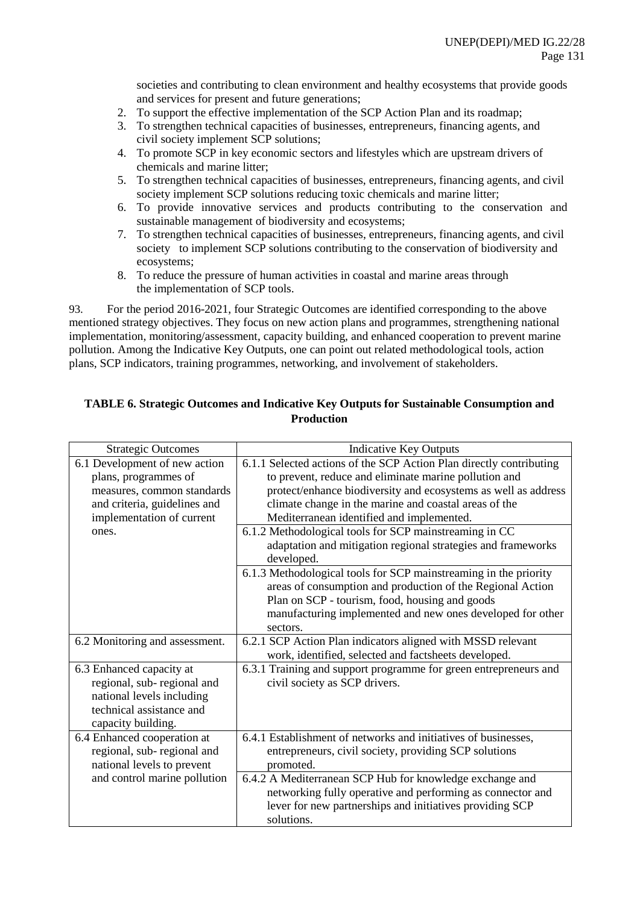societies and contributing to clean environment and healthy ecosystems that provide goods and services for present and future generations;

- 2. To support the effective implementation of the SCP Action Plan and its roadmap;
- 3. To strengthen technical capacities of businesses, entrepreneurs, financing agents, and civil society implement SCP solutions;
- 4. To promote SCP in key economic sectors and lifestyles which are upstream drivers of chemicals and marine litter;
- 5. To strengthen technical capacities of businesses, entrepreneurs, financing agents, and civil society implement SCP solutions reducing toxic chemicals and marine litter;
- 6. To provide innovative services and products contributing to the conservation and sustainable management of biodiversity and ecosystems;
- 7. To strengthen technical capacities of businesses, entrepreneurs, financing agents, and civil society to implement SCP solutions contributing to the conservation of biodiversity and ecosystems;
- 8. To reduce the pressure of human activities in coastal and marine areas through the implementation of SCP tools.

93. For the period 2016-2021, four Strategic Outcomes are identified corresponding to the above mentioned strategy objectives. They focus on new action plans and programmes, strengthening national implementation, monitoring/assessment, capacity building, and enhanced cooperation to prevent marine pollution. Among the Indicative Key Outputs, one can point out related methodological tools, action plans, SCP indicators, training programmes, networking, and involvement of stakeholders.

## **TABLE 6. Strategic Outcomes and Indicative Key Outputs for Sustainable Consumption and Production**

| <b>Strategic Outcomes</b>                                                                                                                                 | <b>Indicative Key Outputs</b>                                                                                                                                                                                                                                                                                                                                                                                                                                                                                                                                                                                                                                                                  |
|-----------------------------------------------------------------------------------------------------------------------------------------------------------|------------------------------------------------------------------------------------------------------------------------------------------------------------------------------------------------------------------------------------------------------------------------------------------------------------------------------------------------------------------------------------------------------------------------------------------------------------------------------------------------------------------------------------------------------------------------------------------------------------------------------------------------------------------------------------------------|
| 6.1 Development of new action<br>plans, programmes of<br>measures, common standards<br>and criteria, guidelines and<br>implementation of current<br>ones. | 6.1.1 Selected actions of the SCP Action Plan directly contributing<br>to prevent, reduce and eliminate marine pollution and<br>protect/enhance biodiversity and ecosystems as well as address<br>climate change in the marine and coastal areas of the<br>Mediterranean identified and implemented.<br>6.1.2 Methodological tools for SCP mainstreaming in CC<br>adaptation and mitigation regional strategies and frameworks<br>developed.<br>6.1.3 Methodological tools for SCP mainstreaming in the priority<br>areas of consumption and production of the Regional Action<br>Plan on SCP - tourism, food, housing and goods<br>manufacturing implemented and new ones developed for other |
| 6.2 Monitoring and assessment.                                                                                                                            | sectors.<br>6.2.1 SCP Action Plan indicators aligned with MSSD relevant<br>work, identified, selected and factsheets developed.                                                                                                                                                                                                                                                                                                                                                                                                                                                                                                                                                                |
| 6.3 Enhanced capacity at<br>regional, sub-regional and<br>national levels including<br>technical assistance and<br>capacity building.                     | 6.3.1 Training and support programme for green entrepreneurs and<br>civil society as SCP drivers.                                                                                                                                                                                                                                                                                                                                                                                                                                                                                                                                                                                              |
| 6.4 Enhanced cooperation at<br>regional, sub-regional and<br>national levels to prevent                                                                   | 6.4.1 Establishment of networks and initiatives of businesses,<br>entrepreneurs, civil society, providing SCP solutions<br>promoted.                                                                                                                                                                                                                                                                                                                                                                                                                                                                                                                                                           |
| and control marine pollution                                                                                                                              | 6.4.2 A Mediterranean SCP Hub for knowledge exchange and<br>networking fully operative and performing as connector and<br>lever for new partnerships and initiatives providing SCP<br>solutions.                                                                                                                                                                                                                                                                                                                                                                                                                                                                                               |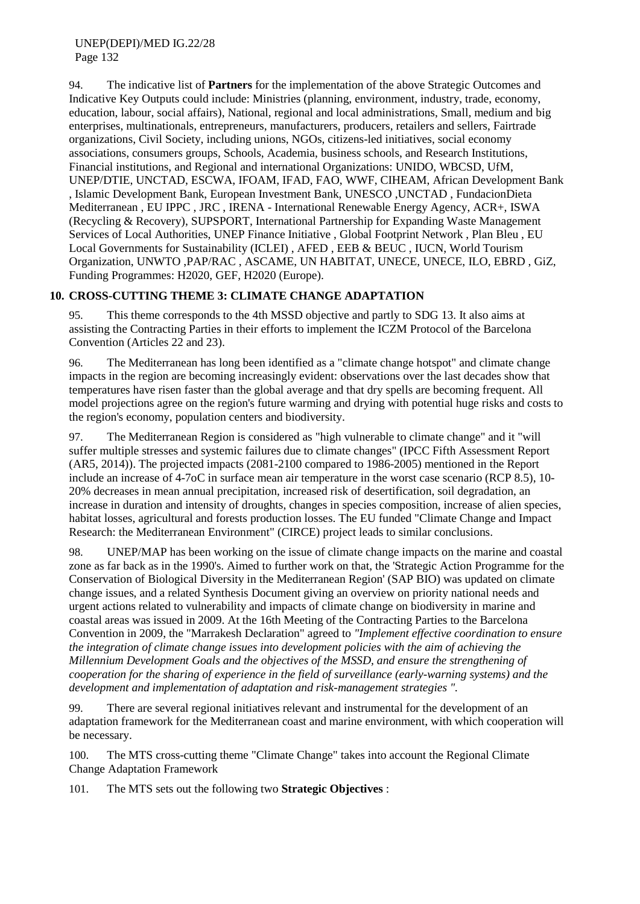94. The indicative list of **Partners** for the implementation of the above Strategic Outcomes and Indicative Key Outputs could include: Ministries (planning, environment, industry, trade, economy, education, labour, social affairs), National, regional and local administrations, Small, medium and big enterprises, multinationals, entrepreneurs, manufacturers, producers, retailers and sellers, Fairtrade organizations, Civil Society, including unions, NGOs, citizens-led initiatives, social economy associations, consumers groups, Schools, Academia, business schools, and Research Institutions, Financial institutions, and Regional and international Organizations: UNIDO, WBCSD, UfM, UNEP/DTIE, UNCTAD, ESCWA, IFOAM, IFAD, FAO, WWF, CIHEAM, African Development Bank , Islamic Development Bank, European Investment Bank, UNESCO ,UNCTAD , FundacionDieta Mediterranean , EU IPPC , JRC , IRENA - International Renewable Energy Agency, ACR+, ISWA (Recycling & Recovery), SUPSPORT, International Partnership for Expanding Waste Management Services of Local Authorities, UNEP Finance Initiative , Global Footprint Network , Plan Bleu , EU Local Governments for Sustainability (ICLEI) , AFED , EEB & BEUC , IUCN, World Tourism Organization, UNWTO ,PAP/RAC , ASCAME, UN HABITAT, UNECE, UNECE, ILO, EBRD , GiZ, Funding Programmes: H2020, GEF, H2020 (Europe).

## **10. CROSS-CUTTING THEME 3: CLIMATE CHANGE ADAPTATION**

95. This theme corresponds to the 4th MSSD objective and partly to SDG 13. It also aims at assisting the Contracting Parties in their efforts to implement the ICZM Protocol of the Barcelona Convention (Articles 22 and 23).

96. The Mediterranean has long been identified as a "climate change hotspot" and climate change impacts in the region are becoming increasingly evident: observations over the last decades show that temperatures have risen faster than the global average and that dry spells are becoming frequent. All model projections agree on the region's future warming and drying with potential huge risks and costs to the region's economy, population centers and biodiversity.

97. The Mediterranean Region is considered as "high vulnerable to climate change" and it "will suffer multiple stresses and systemic failures due to climate changes" (IPCC Fifth Assessment Report (AR5, 2014)). The projected impacts (2081-2100 compared to 1986-2005) mentioned in the Report include an increase of 4-7oC in surface mean air temperature in the worst case scenario (RCP 8.5), 10- 20% decreases in mean annual precipitation, increased risk of desertification, soil degradation, an increase in duration and intensity of droughts, changes in species composition, increase of alien species, habitat losses, agricultural and forests production losses. The EU funded "Climate Change and Impact Research: the Mediterranean Environment" (CIRCE) project leads to similar conclusions.

98. UNEP/MAP has been working on the issue of climate change impacts on the marine and coastal zone as far back as in the 1990's. Aimed to further work on that, the 'Strategic Action Programme for the Conservation of Biological Diversity in the Mediterranean Region' (SAP BIO) was updated on climate change issues, and a related Synthesis Document giving an overview on priority national needs and urgent actions related to vulnerability and impacts of climate change on biodiversity in marine and coastal areas was issued in 2009. At the 16th Meeting of the Contracting Parties to the Barcelona Convention in 2009, the "Marrakesh Declaration" agreed to *"Implement effective coordination to ensure the integration of climate change issues into development policies with the aim of achieving the Millennium Development Goals and the objectives of the MSSD, and ensure the strengthening of cooperation for the sharing of experience in the field of surveillance (early-warning systems) and the development and implementation of adaptation and risk-management strategies ".*

99. There are several regional initiatives relevant and instrumental for the development of an adaptation framework for the Mediterranean coast and marine environment, with which cooperation will be necessary.

100. The MTS cross-cutting theme "Climate Change" takes into account the Regional Climate Change Adaptation Framework

101. The MTS sets out the following two **Strategic Objectives** :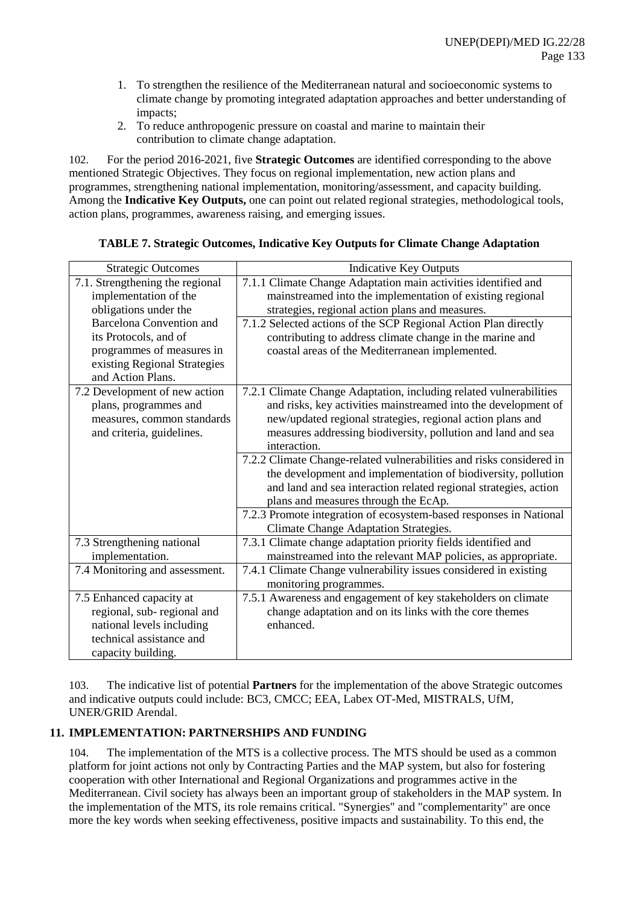- 1. To strengthen the resilience of the Mediterranean natural and socioeconomic systems to climate change by promoting integrated adaptation approaches and better understanding of impacts;
- 2. To reduce anthropogenic pressure on coastal and marine to maintain their contribution to climate change adaptation.

102. For the period 2016-2021, five **Strategic Outcomes** are identified corresponding to the above mentioned Strategic Objectives. They focus on regional implementation, new action plans and programmes, strengthening national implementation, monitoring/assessment, and capacity building. Among the **Indicative Key Outputs,** one can point out related regional strategies, methodological tools, action plans, programmes, awareness raising, and emerging issues.

| <b>Strategic Outcomes</b>       | <b>Indicative Key Outputs</b>                                        |  |
|---------------------------------|----------------------------------------------------------------------|--|
| 7.1. Strengthening the regional | 7.1.1 Climate Change Adaptation main activities identified and       |  |
| implementation of the           | mainstreamed into the implementation of existing regional            |  |
| obligations under the           | strategies, regional action plans and measures.                      |  |
| <b>Barcelona Convention and</b> | 7.1.2 Selected actions of the SCP Regional Action Plan directly      |  |
| its Protocols, and of           | contributing to address climate change in the marine and             |  |
| programmes of measures in       | coastal areas of the Mediterranean implemented.                      |  |
| existing Regional Strategies    |                                                                      |  |
| and Action Plans.               |                                                                      |  |
| 7.2 Development of new action   | 7.2.1 Climate Change Adaptation, including related vulnerabilities   |  |
| plans, programmes and           | and risks, key activities mainstreamed into the development of       |  |
| measures, common standards      | new/updated regional strategies, regional action plans and           |  |
| and criteria, guidelines.       | measures addressing biodiversity, pollution and land and sea         |  |
|                                 | interaction.                                                         |  |
|                                 | 7.2.2 Climate Change-related vulnerabilities and risks considered in |  |
|                                 | the development and implementation of biodiversity, pollution        |  |
|                                 | and land and sea interaction related regional strategies, action     |  |
|                                 | plans and measures through the EcAp.                                 |  |
|                                 | 7.2.3 Promote integration of ecosystem-based responses in National   |  |
|                                 | Climate Change Adaptation Strategies.                                |  |
| 7.3 Strengthening national      | 7.3.1 Climate change adaptation priority fields identified and       |  |
| implementation.                 | mainstreamed into the relevant MAP policies, as appropriate.         |  |
| 7.4 Monitoring and assessment.  | 7.4.1 Climate Change vulnerability issues considered in existing     |  |
|                                 | monitoring programmes.                                               |  |
| 7.5 Enhanced capacity at        | 7.5.1 Awareness and engagement of key stakeholders on climate        |  |
| regional, sub-regional and      | change adaptation and on its links with the core themes              |  |
| national levels including       | enhanced.                                                            |  |
| technical assistance and        |                                                                      |  |
| capacity building.              |                                                                      |  |

**TABLE 7. Strategic Outcomes, Indicative Key Outputs for Climate Change Adaptation**

103. The indicative list of potential **Partners** for the implementation of the above Strategic outcomes and indicative outputs could include: BC3, CMCC; EEA, Labex OT-Med, MISTRALS, UfM, UNER/GRID Arendal.

# **11. IMPLEMENTATION: PARTNERSHIPS AND FUNDING**

104. The implementation of the MTS is a collective process. The MTS should be used as a common platform for joint actions not only by Contracting Parties and the MAP system, but also for fostering cooperation with other International and Regional Organizations and programmes active in the Mediterranean. Civil society has always been an important group of stakeholders in the MAP system. In the implementation of the MTS, its role remains critical. "Synergies" and "complementarity" are once more the key words when seeking effectiveness, positive impacts and sustainability. To this end, the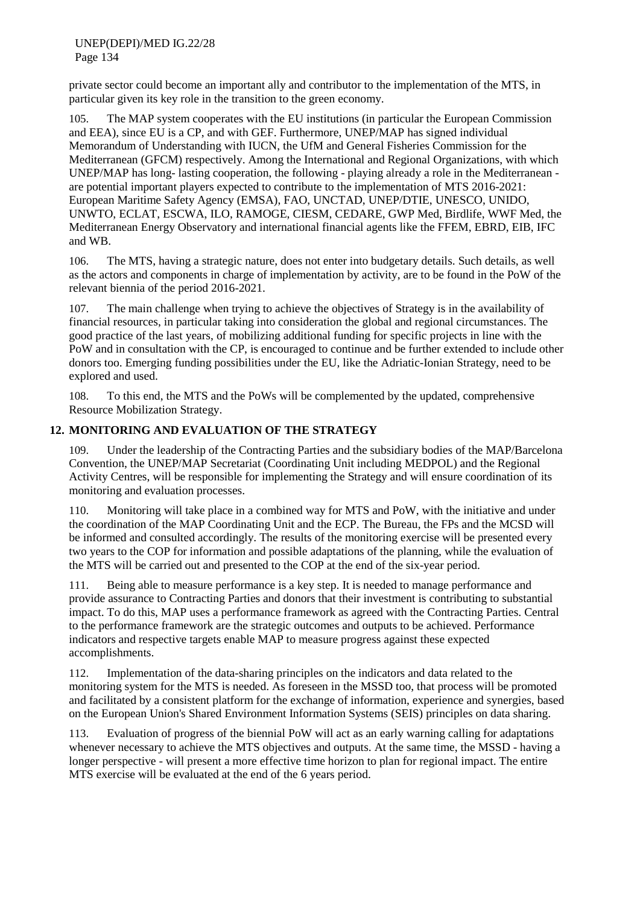private sector could become an important ally and contributor to the implementation of the MTS, in particular given its key role in the transition to the green economy.

105. The MAP system cooperates with the EU institutions (in particular the European Commission and EEA), since EU is a CP, and with GEF. Furthermore, UNEP/MAP has signed individual Memorandum of Understanding with IUCN, the UfM and General Fisheries Commission for the Mediterranean (GFCM) respectively. Among the International and Regional Organizations, with which UNEP/MAP has long- lasting cooperation, the following - playing already a role in the Mediterranean are potential important players expected to contribute to the implementation of MTS 2016-2021: European Maritime Safety Agency (EMSA), FAO, UNCTAD, UNEP/DTIE, UNESCO, UNIDO, UNWTO, ECLAT, ESCWA, ILO, RAMOGE, CIESM, CEDARE, GWP Med, Birdlife, WWF Med, the Mediterranean Energy Observatory and international financial agents like the FFEM, EBRD, EIB, IFC and WB.

106. The MTS, having a strategic nature, does not enter into budgetary details. Such details, as well as the actors and components in charge of implementation by activity, are to be found in the PoW of the relevant biennia of the period 2016-2021.

107. The main challenge when trying to achieve the objectives of Strategy is in the availability of financial resources, in particular taking into consideration the global and regional circumstances. The good practice of the last years, of mobilizing additional funding for specific projects in line with the PoW and in consultation with the CP, is encouraged to continue and be further extended to include other donors too. Emerging funding possibilities under the EU, like the Adriatic-Ionian Strategy, need to be explored and used.

108. To this end, the MTS and the PoWs will be complemented by the updated, comprehensive Resource Mobilization Strategy.

## **12. MONITORING AND EVALUATION OF THE STRATEGY**

109. Under the leadership of the Contracting Parties and the subsidiary bodies of the MAP/Barcelona Convention, the UNEP/MAP Secretariat (Coordinating Unit including MEDPOL) and the Regional Activity Centres, will be responsible for implementing the Strategy and will ensure coordination of its monitoring and evaluation processes.

110. Monitoring will take place in a combined way for MTS and PoW, with the initiative and under the coordination of the MAP Coordinating Unit and the ECP. The Bureau, the FPs and the MCSD will be informed and consulted accordingly. The results of the monitoring exercise will be presented every two years to the COP for information and possible adaptations of the planning, while the evaluation of the MTS will be carried out and presented to the COP at the end of the six-year period.

111. Being able to measure performance is a key step. It is needed to manage performance and provide assurance to Contracting Parties and donors that their investment is contributing to substantial impact. To do this, MAP uses a performance framework as agreed with the Contracting Parties. Central to the performance framework are the strategic outcomes and outputs to be achieved. Performance indicators and respective targets enable MAP to measure progress against these expected accomplishments.

112. Implementation of the data-sharing principles on the indicators and data related to the monitoring system for the MTS is needed. As foreseen in the MSSD too, that process will be promoted and facilitated by a consistent platform for the exchange of information, experience and synergies, based on the European Union's Shared Environment Information Systems (SEIS) principles on data sharing.

113. Evaluation of progress of the biennial PoW will act as an early warning calling for adaptations whenever necessary to achieve the MTS objectives and outputs. At the same time, the MSSD - having a longer perspective - will present a more effective time horizon to plan for regional impact. The entire MTS exercise will be evaluated at the end of the 6 years period.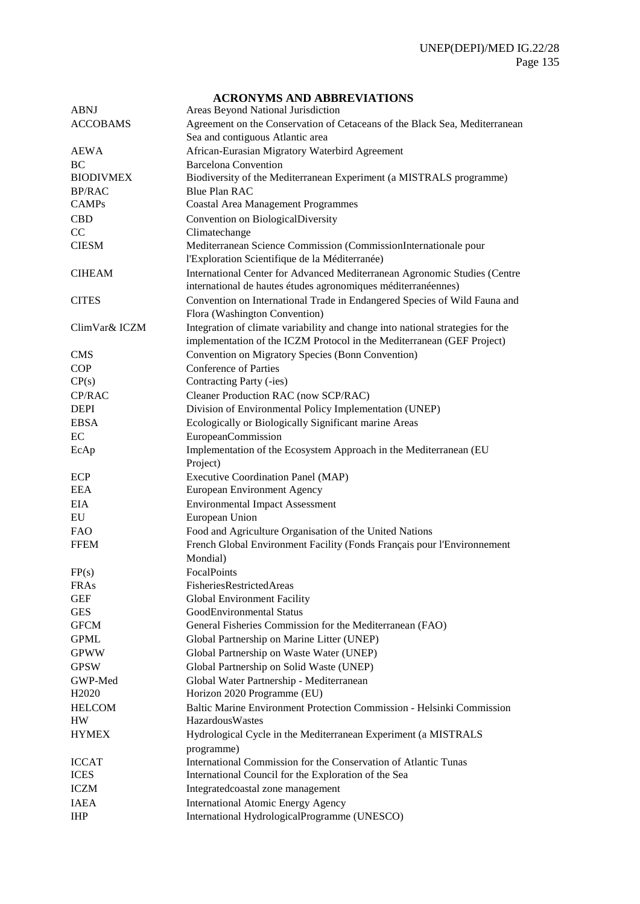## **ACRONYMS AND ABBREVIATIONS**

| <b>ABNJ</b>        | Areas Beyond National Jurisdiction                                                                                                         |
|--------------------|--------------------------------------------------------------------------------------------------------------------------------------------|
| <b>ACCOBAMS</b>    | Agreement on the Conservation of Cetaceans of the Black Sea, Mediterranean                                                                 |
|                    | Sea and contiguous Atlantic area                                                                                                           |
| <b>AEWA</b>        | African-Eurasian Migratory Waterbird Agreement                                                                                             |
| <b>BC</b>          | <b>Barcelona Convention</b>                                                                                                                |
| <b>BIODIVMEX</b>   | Biodiversity of the Mediterranean Experiment (a MISTRALS programme)                                                                        |
| $\rm BP/RAC$       | <b>Blue Plan RAC</b>                                                                                                                       |
| <b>CAMPs</b>       | <b>Coastal Area Management Programmes</b>                                                                                                  |
| <b>CBD</b>         | Convention on BiologicalDiversity                                                                                                          |
| CC                 | Climatechange                                                                                                                              |
|                    |                                                                                                                                            |
| <b>CIESM</b>       | Mediterranean Science Commission (CommissionInternationale pour<br>l'Exploration Scientifique de la Méditerranée)                          |
| <b>CIHEAM</b>      | International Center for Advanced Mediterranean Agronomic Studies (Centre<br>international de hautes études agronomiques méditerranéennes) |
| <b>CITES</b>       | Convention on International Trade in Endangered Species of Wild Fauna and<br>Flora (Washington Convention)                                 |
| ClimVar& ICZM      | Integration of climate variability and change into national strategies for the                                                             |
|                    | implementation of the ICZM Protocol in the Mediterranean (GEF Project)                                                                     |
| <b>CMS</b>         | Convention on Migratory Species (Bonn Convention)                                                                                          |
| <b>COP</b>         | <b>Conference of Parties</b>                                                                                                               |
| CP(s)              | Contracting Party (-ies)                                                                                                                   |
| CP/RAC             | Cleaner Production RAC (now SCP/RAC)                                                                                                       |
| <b>DEPI</b>        | Division of Environmental Policy Implementation (UNEP)                                                                                     |
| <b>EBSA</b>        | Ecologically or Biologically Significant marine Areas                                                                                      |
| EC                 | EuropeanCommission                                                                                                                         |
| EcAp               | Implementation of the Ecosystem Approach in the Mediterranean (EU                                                                          |
|                    | Project)                                                                                                                                   |
| ECP                | <b>Executive Coordination Panel (MAP)</b>                                                                                                  |
| <b>EEA</b>         | <b>European Environment Agency</b>                                                                                                         |
| <b>EIA</b>         | <b>Environmental Impact Assessment</b>                                                                                                     |
| EU                 | European Union                                                                                                                             |
| <b>FAO</b>         | Food and Agriculture Organisation of the United Nations                                                                                    |
| <b>FFEM</b>        | French Global Environment Facility (Fonds Français pour l'Environnement                                                                    |
|                    | Mondial)                                                                                                                                   |
| FP(s)              | FocalPoints                                                                                                                                |
| FRAs               | <b>FisheriesRestrictedAreas</b>                                                                                                            |
| <b>GEF</b>         | Global Environment Facility                                                                                                                |
| <b>GES</b>         | <b>GoodEnvironmental Status</b>                                                                                                            |
| <b>GFCM</b>        | General Fisheries Commission for the Mediterranean (FAO)                                                                                   |
| <b>GPML</b>        | Global Partnership on Marine Litter (UNEP)                                                                                                 |
| <b>GPWW</b>        | Global Partnership on Waste Water (UNEP)                                                                                                   |
|                    | Global Partnership on Solid Waste (UNEP)                                                                                                   |
| <b>GPSW</b>        |                                                                                                                                            |
| GWP-Med            | Global Water Partnership - Mediterranean                                                                                                   |
| H <sub>2</sub> 020 | Horizon 2020 Programme (EU)                                                                                                                |
| <b>HELCOM</b>      | Baltic Marine Environment Protection Commission - Helsinki Commission                                                                      |
| <b>HW</b>          | <b>HazardousWastes</b>                                                                                                                     |
| <b>HYMEX</b>       | Hydrological Cycle in the Mediterranean Experiment (a MISTRALS                                                                             |
|                    | programme)                                                                                                                                 |
| <b>ICCAT</b>       | International Commission for the Conservation of Atlantic Tunas                                                                            |
| <b>ICES</b>        | International Council for the Exploration of the Sea                                                                                       |
| <b>ICZM</b>        | Integratedcoastal zone management                                                                                                          |
| <b>IAEA</b>        | <b>International Atomic Energy Agency</b>                                                                                                  |
| <b>IHP</b>         | International HydrologicalProgramme (UNESCO)                                                                                               |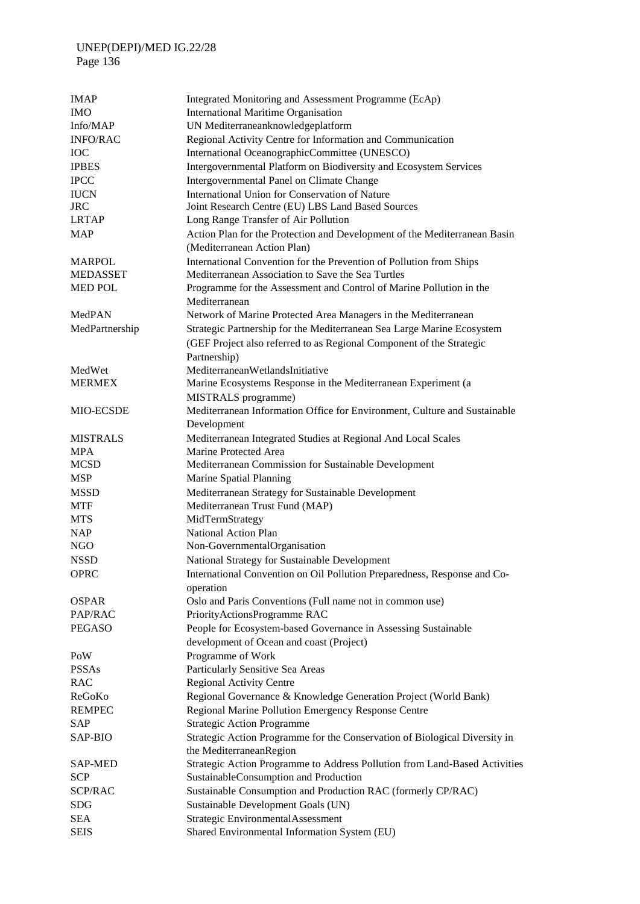#### UNEP(DEPI)/MED IG.22/28 Page 136

| <b>IMAP</b><br><b>IMO</b> | Integrated Monitoring and Assessment Programme (EcAp)<br><b>International Maritime Organisation</b>   |
|---------------------------|-------------------------------------------------------------------------------------------------------|
| Info/MAP                  | UN Mediterraneanknowledgeplatform                                                                     |
| <b>INFO/RAC</b>           | Regional Activity Centre for Information and Communication                                            |
| IOC                       | International OceanographicCommittee (UNESCO)                                                         |
| <b>IPBES</b>              | Intergovernmental Platform on Biodiversity and Ecosystem Services                                     |
| <b>IPCC</b>               | Intergovernmental Panel on Climate Change                                                             |
|                           | International Union for Conservation of Nature                                                        |
| <b>IUCN</b><br><b>JRC</b> | Joint Research Centre (EU) LBS Land Based Sources                                                     |
| <b>LRTAP</b>              | Long Range Transfer of Air Pollution                                                                  |
| <b>MAP</b>                | Action Plan for the Protection and Development of the Mediterranean Basin                             |
|                           | (Mediterranean Action Plan)                                                                           |
| <b>MARPOL</b>             | International Convention for the Prevention of Pollution from Ships                                   |
| <b>MEDASSET</b>           | Mediterranean Association to Save the Sea Turtles                                                     |
| <b>MED POL</b>            | Programme for the Assessment and Control of Marine Pollution in the<br>Mediterranean                  |
| MedPAN                    | Network of Marine Protected Area Managers in the Mediterranean                                        |
| MedPartnership            | Strategic Partnership for the Mediterranean Sea Large Marine Ecosystem                                |
|                           | (GEF Project also referred to as Regional Component of the Strategic                                  |
|                           | Partnership)                                                                                          |
| MedWet<br><b>MERMEX</b>   | MediterraneanWetlandsInitiative                                                                       |
|                           | Marine Ecosystems Response in the Mediterranean Experiment (a                                         |
|                           | MISTRALS programme)                                                                                   |
| MIO-ECSDE                 | Mediterranean Information Office for Environment, Culture and Sustainable<br>Development              |
| <b>MISTRALS</b>           | Mediterranean Integrated Studies at Regional And Local Scales                                         |
| <b>MPA</b>                | Marine Protected Area                                                                                 |
| <b>MCSD</b>               | Mediterranean Commission for Sustainable Development                                                  |
| <b>MSP</b>                | Marine Spatial Planning                                                                               |
| <b>MSSD</b>               | Mediterranean Strategy for Sustainable Development                                                    |
| <b>MTF</b>                | Mediterranean Trust Fund (MAP)                                                                        |
| <b>MTS</b>                | MidTermStrategy                                                                                       |
| <b>NAP</b>                | National Action Plan                                                                                  |
| <b>NGO</b>                | Non-GovernmentalOrganisation                                                                          |
| <b>NSSD</b>               | National Strategy for Sustainable Development                                                         |
| OPRC                      | International Convention on Oil Pollution Preparedness, Response and Co-<br>operation                 |
| <b>OSPAR</b>              | Oslo and Paris Conventions (Full name not in common use)                                              |
| PAP/RAC                   | PriorityActionsProgramme RAC                                                                          |
| PEGASO                    | People for Ecosystem-based Governance in Assessing Sustainable                                        |
|                           | development of Ocean and coast (Project)                                                              |
| PoW                       | Programme of Work                                                                                     |
| <b>PSSAs</b>              | Particularly Sensitive Sea Areas                                                                      |
| <b>RAC</b>                | Regional Activity Centre                                                                              |
| ReGoKo                    | Regional Governance & Knowledge Generation Project (World Bank)                                       |
| <b>REMPEC</b>             | Regional Marine Pollution Emergency Response Centre                                                   |
| SAP                       | <b>Strategic Action Programme</b>                                                                     |
| SAP-BIO                   | Strategic Action Programme for the Conservation of Biological Diversity in<br>the MediterraneanRegion |
| SAP-MED                   | Strategic Action Programme to Address Pollution from Land-Based Activities                            |
| <b>SCP</b>                | SustainableConsumption and Production                                                                 |
| SCP/RAC                   | Sustainable Consumption and Production RAC (formerly CP/RAC)                                          |
| <b>SDG</b>                | Sustainable Development Goals (UN)                                                                    |
| <b>SEA</b>                | Strategic EnvironmentalAssessment                                                                     |
| <b>SEIS</b>               | Shared Environmental Information System (EU)                                                          |
|                           |                                                                                                       |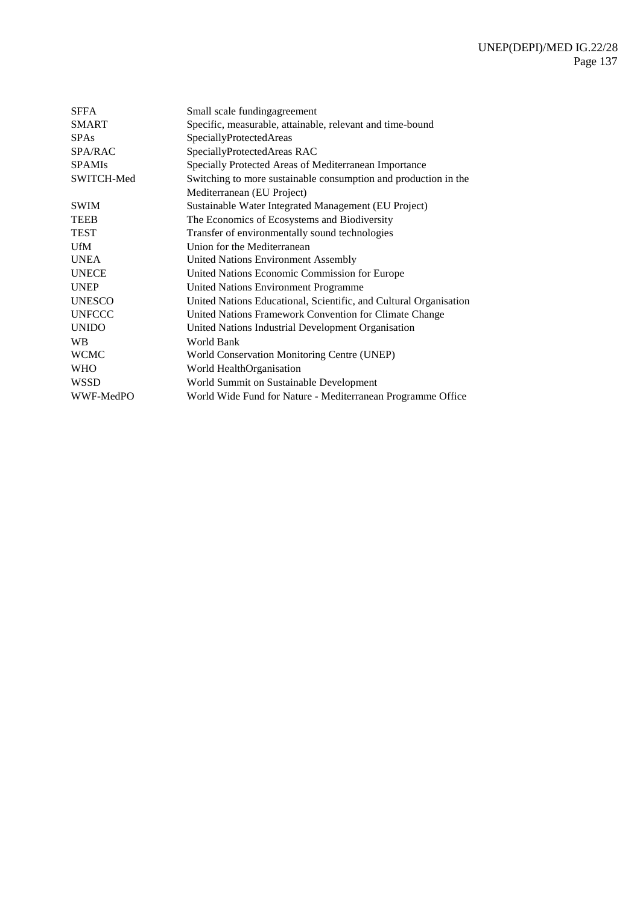| <b>SFFA</b>   | Small scale fundingagreement                                      |
|---------------|-------------------------------------------------------------------|
| <b>SMART</b>  | Specific, measurable, attainable, relevant and time-bound         |
| <b>SPAs</b>   | SpeciallyProtectedAreas                                           |
| SPA/RAC       | SpeciallyProtectedAreas RAC                                       |
| <b>SPAMIs</b> | Specially Protected Areas of Mediterranean Importance             |
| SWITCH-Med    | Switching to more sustainable consumption and production in the   |
|               | Mediterranean (EU Project)                                        |
| <b>SWIM</b>   | Sustainable Water Integrated Management (EU Project)              |
| <b>TEEB</b>   | The Economics of Ecosystems and Biodiversity                      |
| <b>TEST</b>   | Transfer of environmentally sound technologies                    |
| <b>UfM</b>    | Union for the Mediterranean                                       |
| <b>UNEA</b>   | United Nations Environment Assembly                               |
| <b>UNECE</b>  | United Nations Economic Commission for Europe                     |
| <b>UNEP</b>   | United Nations Environment Programme                              |
| <b>UNESCO</b> | United Nations Educational, Scientific, and Cultural Organisation |
| <b>UNFCCC</b> | United Nations Framework Convention for Climate Change            |
| <b>UNIDO</b>  | United Nations Industrial Development Organisation                |
| <b>WB</b>     | World Bank                                                        |
| <b>WCMC</b>   | World Conservation Monitoring Centre (UNEP)                       |
| <b>WHO</b>    | World HealthOrganisation                                          |
| <b>WSSD</b>   | World Summit on Sustainable Development                           |
| WWF-MedPO     | World Wide Fund for Nature - Mediterranean Programme Office       |